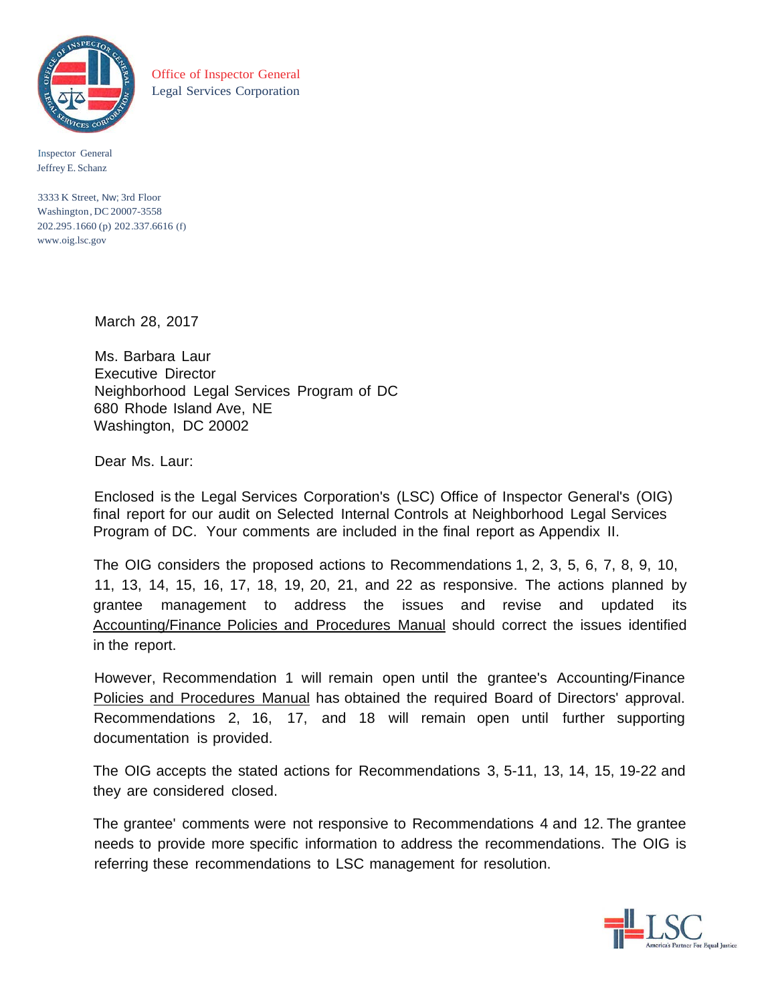

Office of Inspector General Legal Services Corporation

Inspector General Jeffrey E. Schanz

3333 K Street, Nw; 3rd Floor Washington, DC 20007-3558 202.295.1660 (p) 202.337.6616 (f) [www.oig.lsc.gov](http://www.oig.lsc.gov/)

March 28, 2017

Ms. Barbara Laur Executive Director Neighborhood Legal Services Program of DC 680 Rhode Island Ave, NE Washington, DC 20002

Dear Ms. Laur:

Enclosed is the Legal Services Corporation's (LSC) Office of Inspector General's (OIG) final report for our audit on Selected Internal Controls at Neighborhood Legal Services Program of DC. Your comments are included in the final report as Appendix II.

The OIG considers the proposed actions to Recommendations 1, 2, 3, 5, 6, 7, 8, 9, 10, 11, 13, 14, 15, 16, 17, 18, 19, 20, 21, and 22 as responsive. The actions planned by grantee management to address the issues and revise and updated its Accounting/Finance Policies and Procedures Manual should correct the issues identified in the report.

However, Recommendation 1 will remain open until the grantee's Accounting/Finance Policies and Procedures Manual has obtained the required Board of Directors' approval. Recommendations 2, 16, 17, and 18 will remain open until further supporting documentation is provided.

The OIG accepts the stated actions for Recommendations 3, 5-11, 13, 14, 15, 19-22 and they are considered closed.

The grantee' comments were not responsive to Recommendations 4 and 12. The grantee needs to provide more specific information to address the recommendations. The OIG is referring these recommendations to LSC management for resolution.

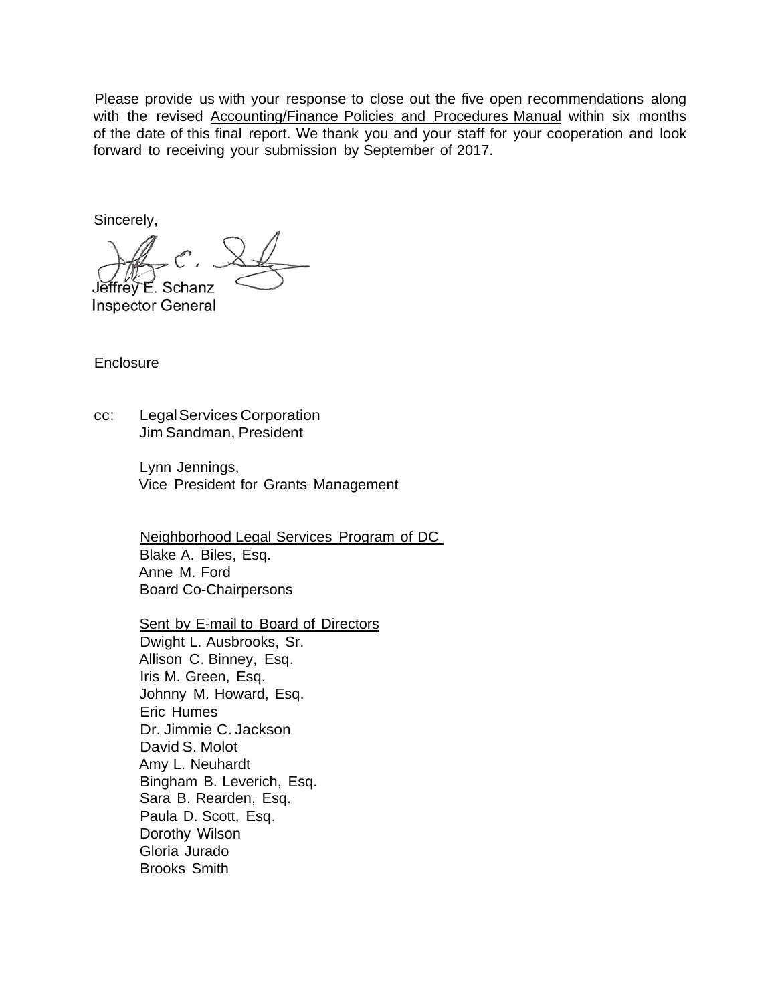Please provide us with your response to close out the five open recommendations along with the revised Accounting/Finance Policies and Procedures Manual within six months of the date of this final report. We thank you and your staff for your cooperation and look forward to receiving your submission by September of 2017.

Sincerely,

Jeffrev E. Schanz

**Inspector General** 

**Enclosure** 

cc: LegalServices Corporation Jim Sandman, President

> Lynn Jennings, Vice President for Grants Management

Neighborhood Legal Services Program of DC Blake A. Biles, Esq. Anne M. Ford Board Co-Chairpersons

Sent by E-mail to Board of Directors Dwight L. Ausbrooks, Sr. Allison C. Binney, Esq. Iris M. Green, Esq. Johnny M. Howard, Esq. Eric Humes Dr. Jimmie C. Jackson David S. Molot Amy L. Neuhardt Bingham B. Leverich, Esq. Sara B. Rearden, Esq. Paula D. Scott, Esq. Dorothy Wilson Gloria Jurado Brooks Smith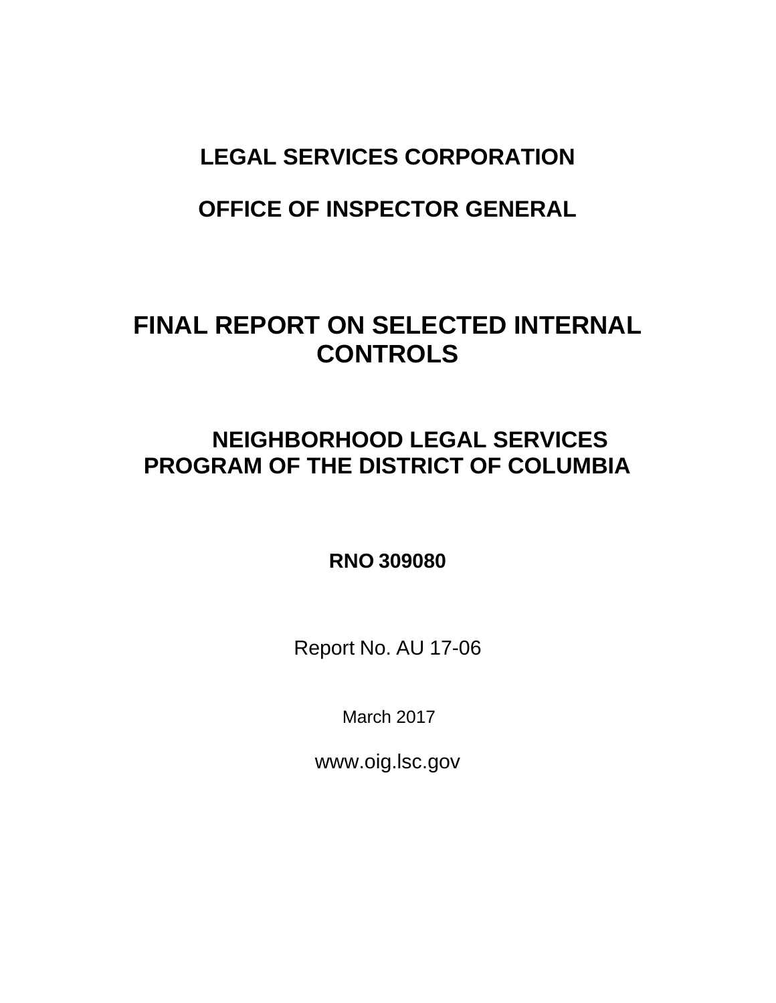# **LEGAL SERVICES CORPORATION**

# **OFFICE OF INSPECTOR GENERAL**

# **FINAL REPORT ON SELECTED INTERNAL CONTROLS**

# **NEIGHBORHOOD LEGAL SERVICES PROGRAM OF THE DISTRICT OF COLUMBIA**

# **RNO 309080**

Report No. AU 17-06

March 2017

[www.oig.lsc.gov](http://www.oig.lsc.gov/)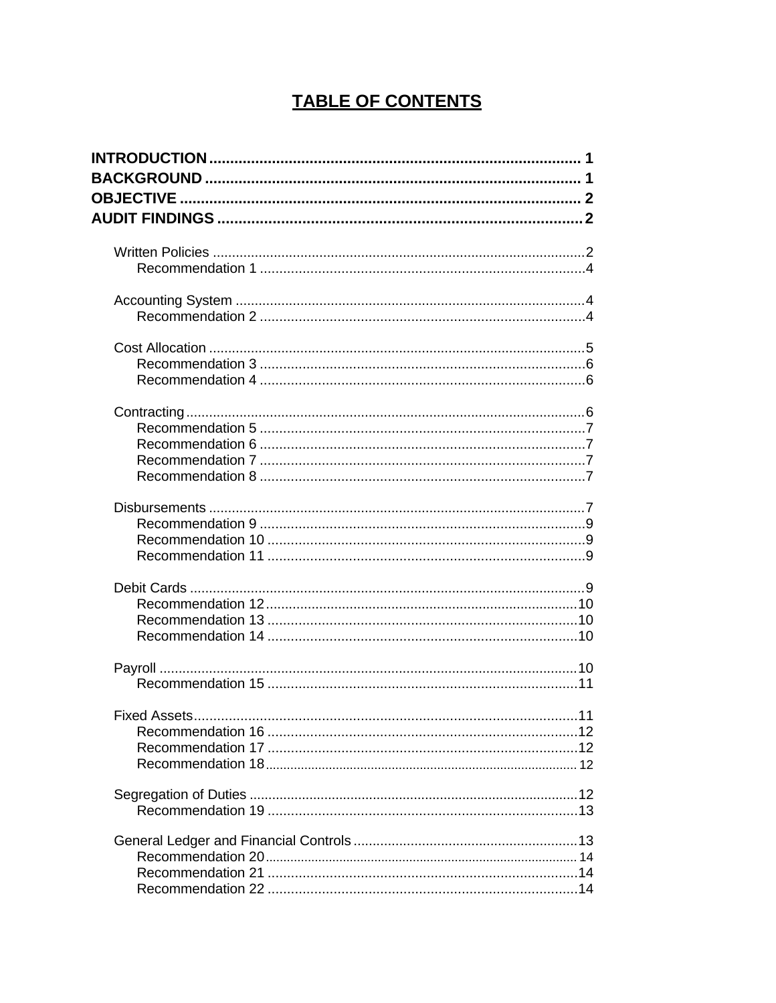# **TABLE OF CONTENTS**

| <b>Fixed Assets</b> | 11 |
|---------------------|----|
|                     |    |
|                     |    |
|                     |    |
|                     |    |
|                     |    |
|                     |    |
|                     |    |
|                     |    |
|                     |    |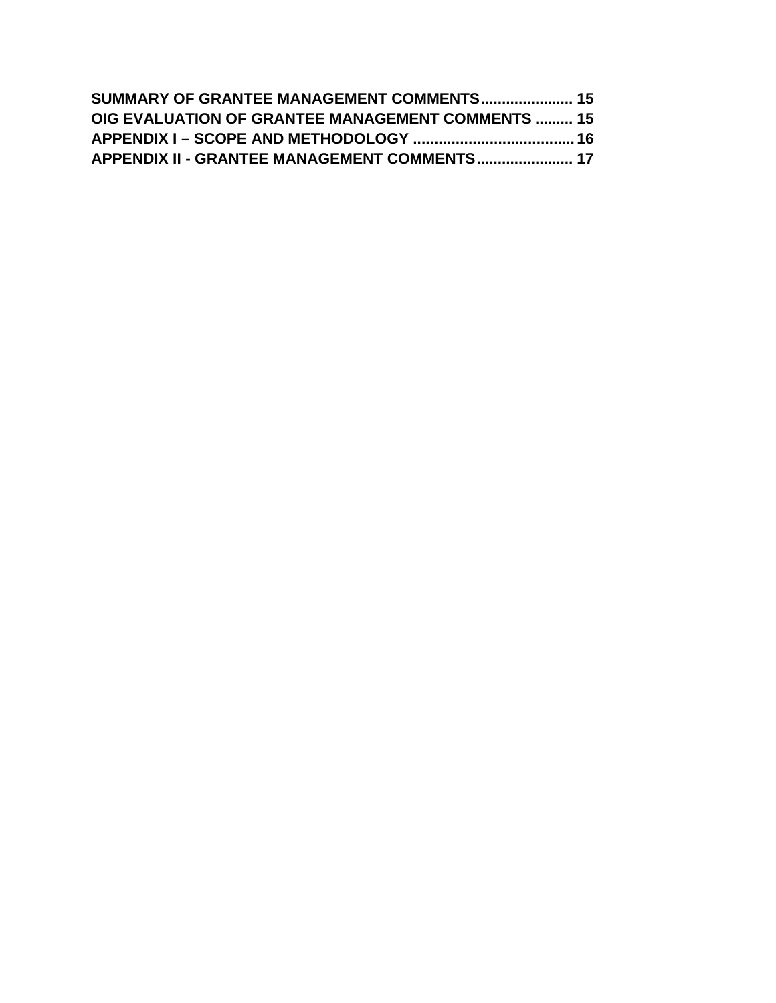| SUMMARY OF GRANTEE MANAGEMENT COMMENTS 15                |  |
|----------------------------------------------------------|--|
| <b>OIG EVALUATION OF GRANTEE MANAGEMENT COMMENTS  15</b> |  |
|                                                          |  |
| APPENDIX II - GRANTEE MANAGEMENT COMMENTS 17             |  |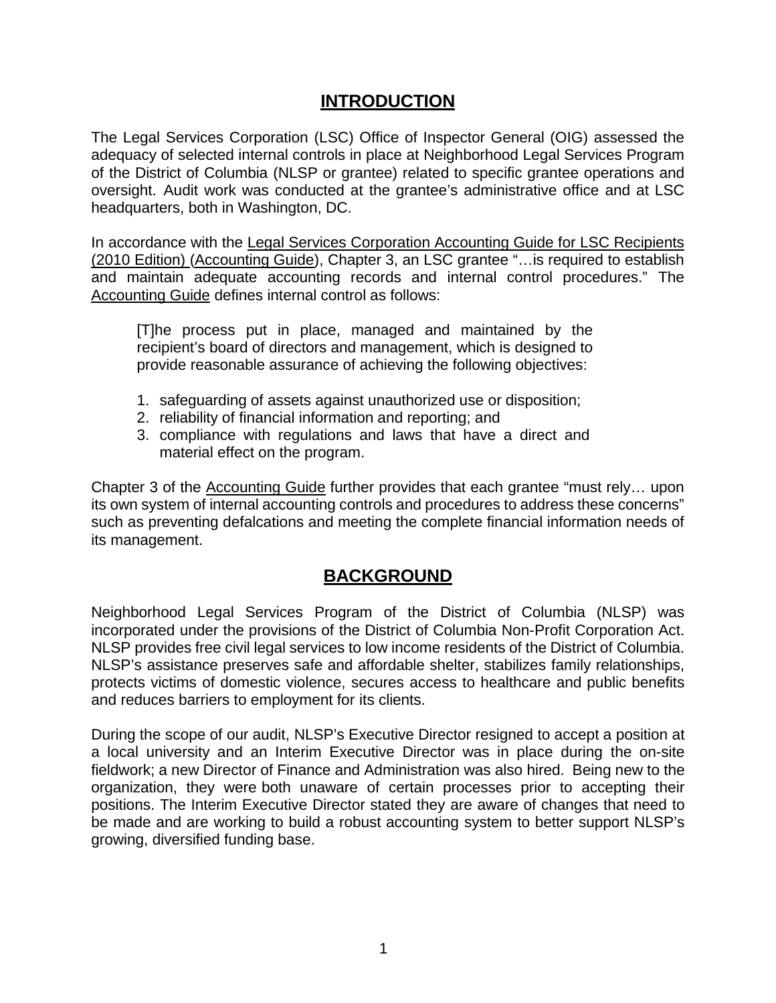# **INTRODUCTION**

<span id="page-5-0"></span>The Legal Services Corporation (LSC) Office of Inspector General (OIG) assessed the adequacy of selected internal controls in place at Neighborhood Legal Services Program of the District of Columbia (NLSP or grantee) related to specific grantee operations and oversight. Audit work was conducted at the grantee's administrative office and at LSC headquarters, both in Washington, DC.

In accordance with the Legal Services Corporation Accounting Guide for LSC Recipients (2010 Edition) (Accounting Guide), Chapter 3, an LSC grantee "…is required to establish and maintain adequate accounting records and internal control procedures." The Accounting Guide defines internal control as follows:

[T]he process put in place, managed and maintained by the recipient's board of directors and management, which is designed to provide reasonable assurance of achieving the following objectives:

- 1. safeguarding of assets against unauthorized use or disposition;
- 2. reliability of financial information and reporting; and
- 3. compliance with regulations and laws that have a direct and material effect on the program.

Chapter 3 of the Accounting Guide further provides that each grantee "must rely… upon its own system of internal accounting controls and procedures to address these concerns" such as preventing defalcations and meeting the complete financial information needs of its management.

# **BACKGROUND**

<span id="page-5-1"></span>Neighborhood Legal Services Program of the District of Columbia (NLSP) was incorporated under the provisions of the District of Columbia Non-Profit Corporation Act. NLSP provides free civil legal services to low income residents of the District of Columbia. NLSP's assistance preserves safe and affordable shelter, stabilizes family relationships, protects victims of domestic violence, secures access to healthcare and public benefits and reduces barriers to employment for its clients.

During the scope of our audit, NLSP's Executive Director resigned to accept a position at a local university and an Interim Executive Director was in place during the on-site fieldwork; a new Director of Finance and Administration was also hired. Being new to the organization, they were both unaware of certain processes prior to accepting their positions. The Interim Executive Director stated they are aware of changes that need to be made and are working to build a robust accounting system to better support NLSP's growing, diversified funding base.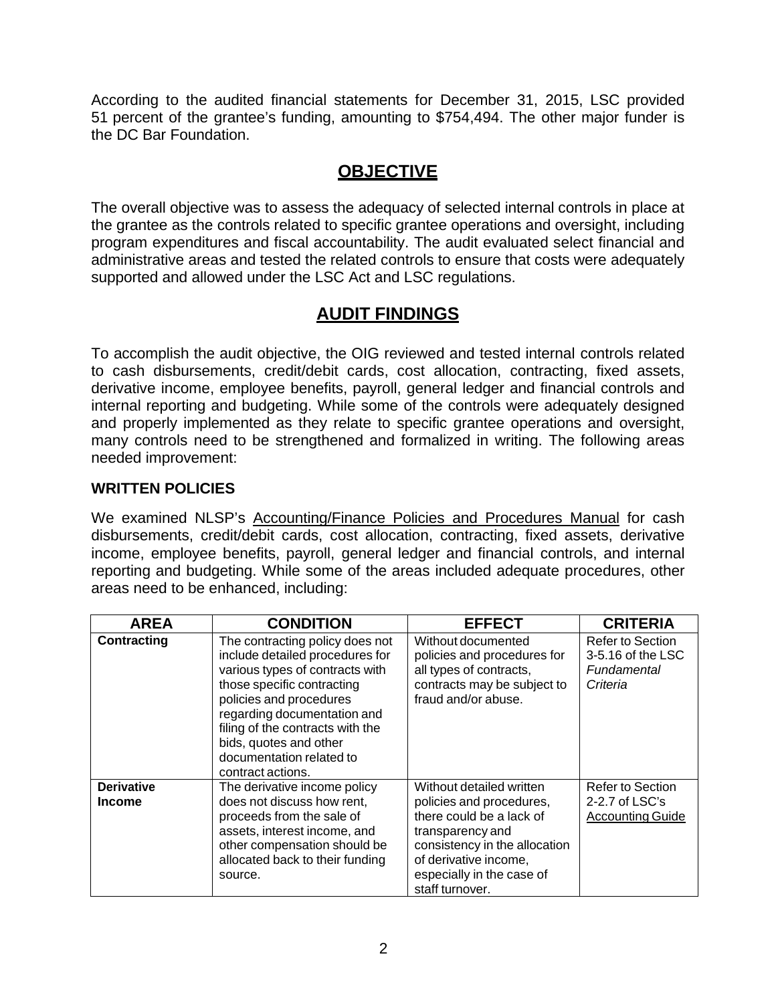According to the audited financial statements for December 31, 2015, LSC provided 51 percent of the grantee's funding, amounting to \$754,494. The other major funder is the DC Bar Foundation.

# **OBJECTIVE**

<span id="page-6-0"></span>The overall objective was to assess the adequacy of selected internal controls in place at the grantee as the controls related to specific grantee operations and oversight, including program expenditures and fiscal accountability. The audit evaluated select financial and administrative areas and tested the related controls to ensure that costs were adequately supported and allowed under the LSC Act and LSC regulations.

# **AUDIT FINDINGS**

<span id="page-6-1"></span>To accomplish the audit objective, the OIG reviewed and tested internal controls related to cash disbursements, credit/debit cards, cost allocation, contracting, fixed assets, derivative income, employee benefits, payroll, general ledger and financial controls and internal reporting and budgeting. While some of the controls were adequately designed and properly implemented as they relate to specific grantee operations and oversight, many controls need to be strengthened and formalized in writing. The following areas needed improvement:

# <span id="page-6-2"></span>**WRITTEN POLICIES**

We examined NLSP's Accounting/Finance Policies and Procedures Manual for cash disbursements, credit/debit cards, cost allocation, contracting, fixed assets, derivative income, employee benefits, payroll, general ledger and financial controls, and internal reporting and budgeting. While some of the areas included adequate procedures, other areas need to be enhanced, including:

| <b>AREA</b>                        | <b>CONDITION</b>                                                                                                                                                                                                                                                                                             | <b>EFFECT</b>                                                                                                                                                                                                  | <b>CRITERIA</b>                                                        |
|------------------------------------|--------------------------------------------------------------------------------------------------------------------------------------------------------------------------------------------------------------------------------------------------------------------------------------------------------------|----------------------------------------------------------------------------------------------------------------------------------------------------------------------------------------------------------------|------------------------------------------------------------------------|
| <b>Contracting</b>                 | The contracting policy does not<br>include detailed procedures for<br>various types of contracts with<br>those specific contracting<br>policies and procedures<br>regarding documentation and<br>filing of the contracts with the<br>bids, quotes and other<br>documentation related to<br>contract actions. | Without documented<br>policies and procedures for<br>all types of contracts,<br>contracts may be subject to<br>fraud and/or abuse.                                                                             | Refer to Section<br>3-5.16 of the LSC<br>Fundamental<br>Criteria       |
| <b>Derivative</b><br><b>Income</b> | The derivative income policy<br>does not discuss how rent,<br>proceeds from the sale of<br>assets, interest income, and<br>other compensation should be<br>allocated back to their funding<br>source.                                                                                                        | Without detailed written<br>policies and procedures,<br>there could be a lack of<br>transparency and<br>consistency in the allocation<br>of derivative income,<br>especially in the case of<br>staff turnover. | <b>Refer to Section</b><br>$2-2.7$ of LSC's<br><b>Accounting Guide</b> |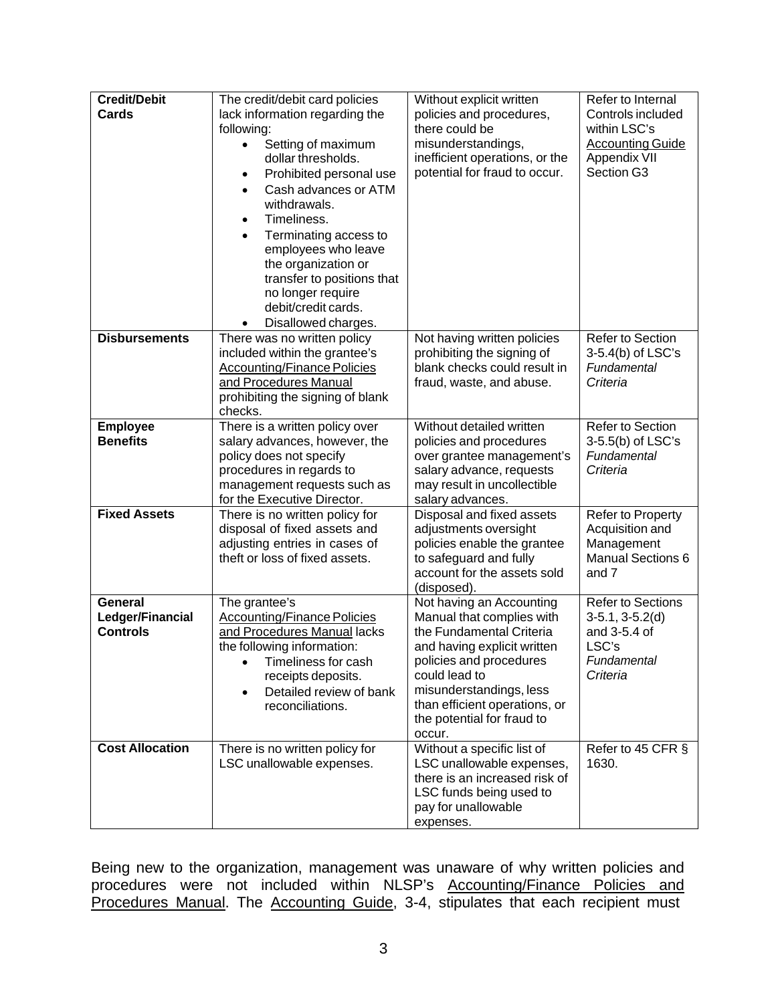| <b>Credit/Debit</b><br>Cards                   | The credit/debit card policies<br>lack information regarding the<br>following:<br>Setting of maximum<br>$\bullet$<br>dollar thresholds.<br>Prohibited personal use<br>$\bullet$<br>Cash advances or ATM<br>$\bullet$<br>withdrawals.<br>Timeliness.<br>$\bullet$<br>Terminating access to<br>$\bullet$<br>employees who leave<br>the organization or<br>transfer to positions that<br>no longer require<br>debit/credit cards. | Without explicit written<br>policies and procedures,<br>there could be<br>misunderstandings,<br>inefficient operations, or the<br>potential for fraud to occur.                                                                                                  | Refer to Internal<br>Controls included<br>within LSC's<br><b>Accounting Guide</b><br>Appendix VII<br>Section G3 |
|------------------------------------------------|--------------------------------------------------------------------------------------------------------------------------------------------------------------------------------------------------------------------------------------------------------------------------------------------------------------------------------------------------------------------------------------------------------------------------------|------------------------------------------------------------------------------------------------------------------------------------------------------------------------------------------------------------------------------------------------------------------|-----------------------------------------------------------------------------------------------------------------|
| <b>Disbursements</b>                           | Disallowed charges.<br>There was no written policy<br>included within the grantee's<br><b>Accounting/Finance Policies</b><br>and Procedures Manual<br>prohibiting the signing of blank<br>checks.                                                                                                                                                                                                                              | Not having written policies<br>prohibiting the signing of<br>blank checks could result in<br>fraud, waste, and abuse.                                                                                                                                            | Refer to Section<br>3-5.4(b) of LSC's<br>Fundamental<br>Criteria                                                |
| <b>Employee</b><br><b>Benefits</b>             | There is a written policy over<br>salary advances, however, the<br>policy does not specify<br>procedures in regards to<br>management requests such as<br>for the Executive Director.                                                                                                                                                                                                                                           | Without detailed written<br>policies and procedures<br>over grantee management's<br>salary advance, requests<br>may result in uncollectible<br>salary advances.                                                                                                  | Refer to Section<br>3-5.5(b) of LSC's<br>Fundamental<br>Criteria                                                |
| <b>Fixed Assets</b>                            | There is no written policy for<br>disposal of fixed assets and<br>adjusting entries in cases of<br>theft or loss of fixed assets.                                                                                                                                                                                                                                                                                              | Disposal and fixed assets<br>adjustments oversight<br>policies enable the grantee<br>to safeguard and fully<br>account for the assets sold<br>(disposed).                                                                                                        | Refer to Property<br>Acquisition and<br>Management<br><b>Manual Sections 6</b><br>and 7                         |
| General<br>Ledger/Financial<br><b>Controls</b> | The grantee's<br><b>Accounting/Finance Policies</b><br>and Procedures Manual lacks<br>the following information:<br>Timeliness for cash<br>$\bullet$<br>receipts deposits.<br>Detailed review of bank<br>$\bullet$<br>reconciliations.                                                                                                                                                                                         | Not having an Accounting<br>Manual that complies with<br>the Fundamental Criteria<br>and having explicit written<br>policies and procedures<br>could lead to<br>misunderstandings, less<br>than efficient operations, or<br>the potential for fraud to<br>occur. | <b>Refer to Sections</b><br>$3-5.1, 3-5.2(d)$<br>and 3-5.4 of<br>LSC's<br>Fundamental<br>Criteria               |
| <b>Cost Allocation</b>                         | There is no written policy for<br>LSC unallowable expenses.                                                                                                                                                                                                                                                                                                                                                                    | Without a specific list of<br>LSC unallowable expenses,<br>there is an increased risk of<br>LSC funds being used to<br>pay for unallowable<br>expenses.                                                                                                          | Refer to 45 CFR §<br>1630.                                                                                      |

Being new to the organization, management was unaware of why written policies and procedures were not included within NLSP's <u>Accounting/Finance Policies and</u> Procedures Manual. The Accounting Guide, 3-4, stipulates that each recipient must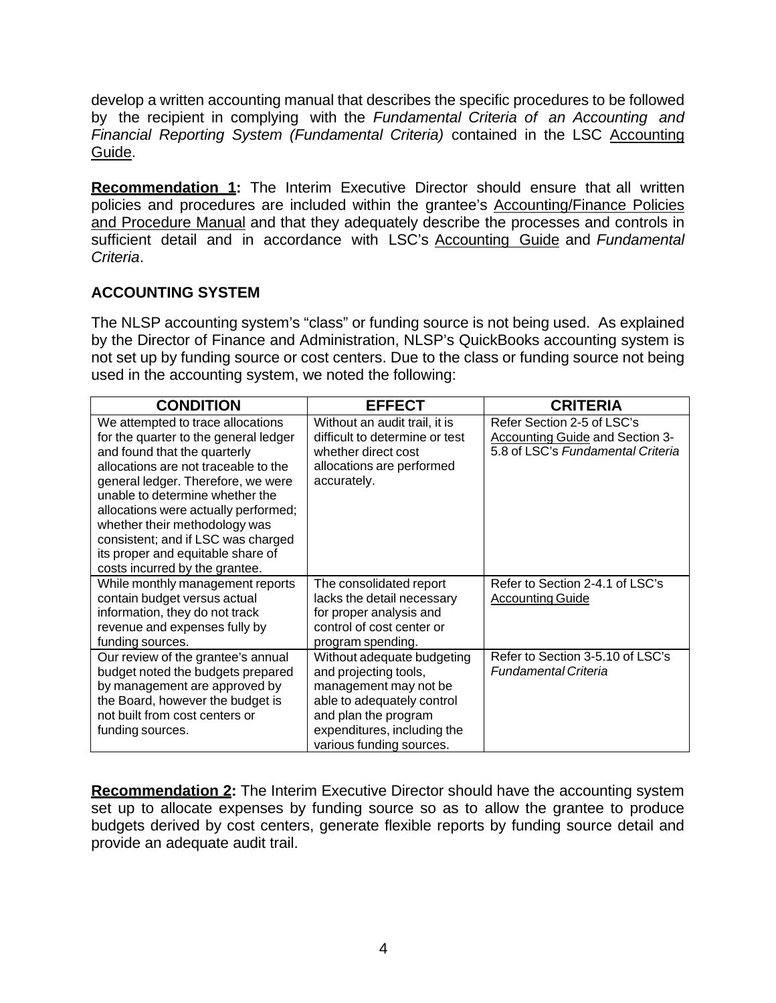develop a written accounting manual that describes the specific procedures to be followed by the recipient in complying with the *Fundamental Criteria of an Accounting and Financial Reporting System (Fundamental Criteria)* contained in the LSC Accounting Guide.

**Recommendation 1:** The Interim Executive Director should ensure that all written policies and procedures are included within the grantee's Accounting/Finance Policies and Procedure Manual and that they adequately describe the processes and controls in sufficient detail and in accordance with LSC's Accounting Guide and *Fundamental Criteria*.

# <span id="page-8-0"></span>**ACCOUNTING SYSTEM**

The NLSP accounting system's "class" or funding source is not being used. As explained by the Director of Finance and Administration, NLSP's QuickBooks accounting system is not set up by funding source or cost centers. Due to the class or funding source not being used in the accounting system, we noted the following:

| <b>CONDITION</b>                                                                                                                                                                                                                                                                                                                                                                                                  | <b>EFFECT</b>                                                                                                                                                                                 | <b>CRITERIA</b>                                                                                    |
|-------------------------------------------------------------------------------------------------------------------------------------------------------------------------------------------------------------------------------------------------------------------------------------------------------------------------------------------------------------------------------------------------------------------|-----------------------------------------------------------------------------------------------------------------------------------------------------------------------------------------------|----------------------------------------------------------------------------------------------------|
| We attempted to trace allocations<br>for the quarter to the general ledger<br>and found that the quarterly<br>allocations are not traceable to the<br>general ledger. Therefore, we were<br>unable to determine whether the<br>allocations were actually performed;<br>whether their methodology was<br>consistent; and if LSC was charged<br>its proper and equitable share of<br>costs incurred by the grantee. | Without an audit trail, it is<br>difficult to determine or test<br>whether direct cost<br>allocations are performed<br>accurately.                                                            | Refer Section 2-5 of LSC's<br>Accounting Guide and Section 3-<br>5.8 of LSC's Fundamental Criteria |
| While monthly management reports<br>contain budget versus actual<br>information, they do not track<br>revenue and expenses fully by<br>funding sources.                                                                                                                                                                                                                                                           | The consolidated report<br>lacks the detail necessary<br>for proper analysis and<br>control of cost center or<br>program spending.                                                            | Refer to Section 2-4.1 of LSC's<br><b>Accounting Guide</b>                                         |
| Our review of the grantee's annual<br>budget noted the budgets prepared<br>by management are approved by<br>the Board, however the budget is<br>not built from cost centers or<br>funding sources.                                                                                                                                                                                                                | Without adequate budgeting<br>and projecting tools,<br>management may not be<br>able to adequately control<br>and plan the program<br>expenditures, including the<br>various funding sources. | Refer to Section 3-5.10 of LSC's<br><b>Fundamental Criteria</b>                                    |

**Recommendation 2:** The Interim Executive Director should have the accounting system set up to allocate expenses by funding source so as to allow the grantee to produce budgets derived by cost centers, generate flexible reports by funding source detail and provide an adequate audit trail.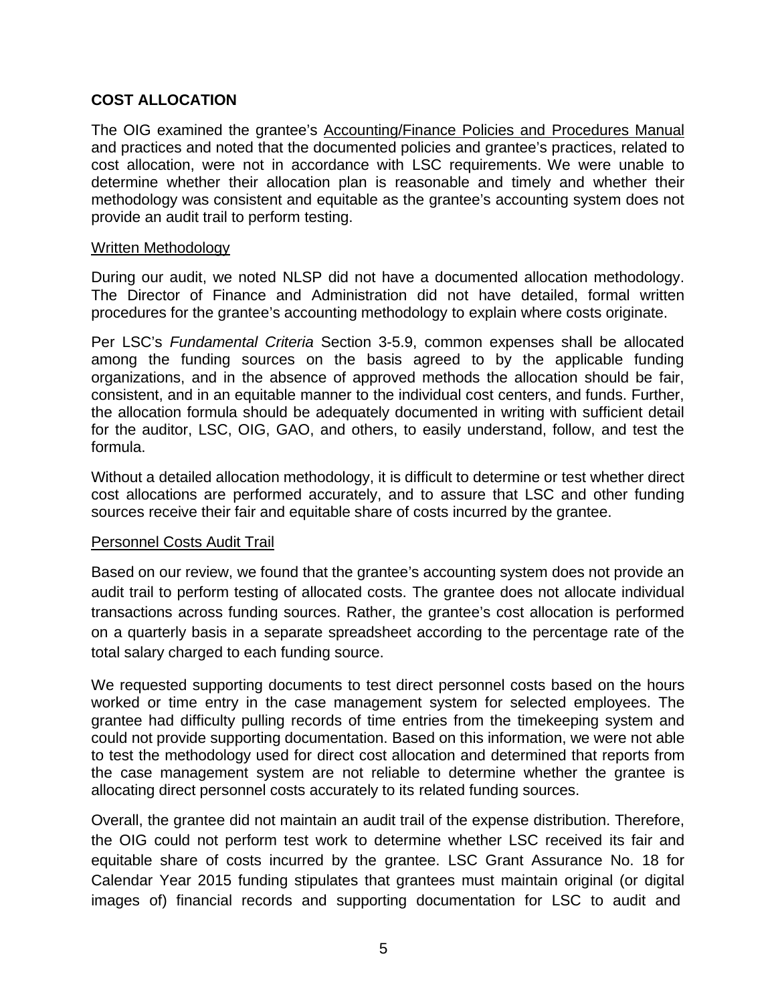#### <span id="page-9-0"></span>**COST ALLOCATION**

The OIG examined the grantee's Accounting/Finance Policies and Procedures Manual and practices and noted that the documented policies and grantee's practices, related to cost allocation, were not in accordance with LSC requirements. We were unable to determine whether their allocation plan is reasonable and timely and whether their methodology was consistent and equitable as the grantee's accounting system does not provide an audit trail to perform testing.

#### Written Methodology

During our audit, we noted NLSP did not have a documented allocation methodology. The Director of Finance and Administration did not have detailed, formal written procedures for the grantee's accounting methodology to explain where costs originate.

Per LSC's *Fundamental Criteria* Section 3-5.9, common expenses shall be allocated among the funding sources on the basis agreed to by the applicable funding organizations, and in the absence of approved methods the allocation should be fair, consistent, and in an equitable manner to the individual cost centers, and funds. Further, the allocation formula should be adequately documented in writing with sufficient detail for the auditor, LSC, OIG, GAO, and others, to easily understand, follow, and test the formula.

Without a detailed allocation methodology, it is difficult to determine or test whether direct cost allocations are performed accurately, and to assure that LSC and other funding sources receive their fair and equitable share of costs incurred by the grantee.

#### Personnel Costs Audit Trail

Based on our review, we found that the grantee's accounting system does not provide an audit trail to perform testing of allocated costs. The grantee does not allocate individual transactions across funding sources. Rather, the grantee's cost allocation is performed on a quarterly basis in a separate spreadsheet according to the percentage rate of the total salary charged to each funding source.

We requested supporting documents to test direct personnel costs based on the hours worked or time entry in the case management system for selected employees. The grantee had difficulty pulling records of time entries from the timekeeping system and could not provide supporting documentation. Based on this information, we were not able to test the methodology used for direct cost allocation and determined that reports from the case management system are not reliable to determine whether the grantee is allocating direct personnel costs accurately to its related funding sources.

Overall, the grantee did not maintain an audit trail of the expense distribution. Therefore, the OIG could not perform test work to determine whether LSC received its fair and equitable share of costs incurred by the grantee. LSC Grant Assurance No. 18 for Calendar Year 2015 funding stipulates that grantees must maintain original (or digital images of) financial records and supporting documentation for LSC to audit and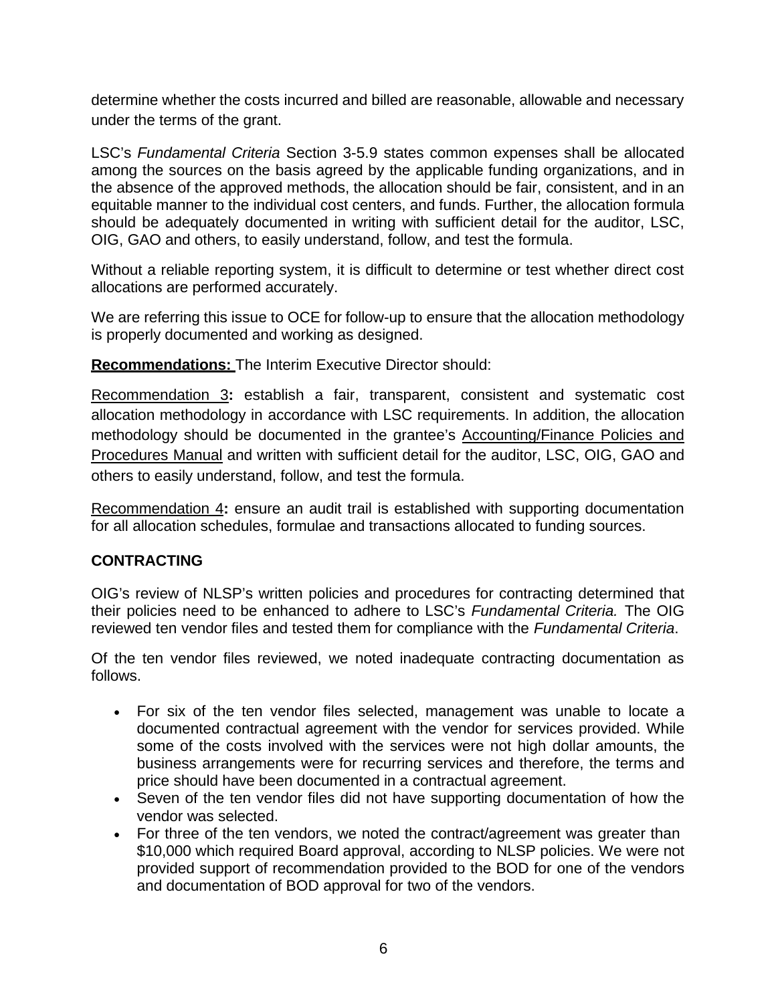determine whether the costs incurred and billed are reasonable, allowable and necessary under the terms of the grant.

LSC's *Fundamental Criteria* Section 3-5.9 states common expenses shall be allocated among the sources on the basis agreed by the applicable funding organizations, and in the absence of the approved methods, the allocation should be fair, consistent, and in an equitable manner to the individual cost centers, and funds. Further, the allocation formula should be adequately documented in writing with sufficient detail for the auditor, LSC, OIG, GAO and others, to easily understand, follow, and test the formula.

Without a reliable reporting system, it is difficult to determine or test whether direct cost allocations are performed accurately.

We are referring this issue to OCE for follow-up to ensure that the allocation methodology is properly documented and working as designed.

**Recommendations:** The Interim Executive Director should:

Recommendation 3**:** establish a fair, transparent, consistent and systematic cost allocation methodology in accordance with LSC requirements. In addition, the allocation methodology should be documented in the grantee's Accounting/Finance Policies and Procedures Manual and written with sufficient detail for the auditor, LSC, OIG, GAO and others to easily understand, follow, and test the formula.

Recommendation 4**:** ensure an audit trail is established with supporting documentation for all allocation schedules, formulae and transactions allocated to funding sources.

# <span id="page-10-0"></span>**CONTRACTING**

OIG's review of NLSP's written policies and procedures for contracting determined that their policies need to be enhanced to adhere to LSC's *Fundamental Criteria.* The OIG reviewed ten vendor files and tested them for compliance with the *Fundamental Criteria*.

Of the ten vendor files reviewed, we noted inadequate contracting documentation as follows.

- For six of the ten vendor files selected, management was unable to locate a documented contractual agreement with the vendor for services provided. While some of the costs involved with the services were not high dollar amounts, the business arrangements were for recurring services and therefore, the terms and price should have been documented in a contractual agreement.
- Seven of the ten vendor files did not have supporting documentation of how the vendor was selected.
- For three of the ten vendors, we noted the contract/agreement was greater than \$10,000 which required Board approval, according to NLSP policies. We were not provided support of recommendation provided to the BOD for one of the vendors and documentation of BOD approval for two of the vendors.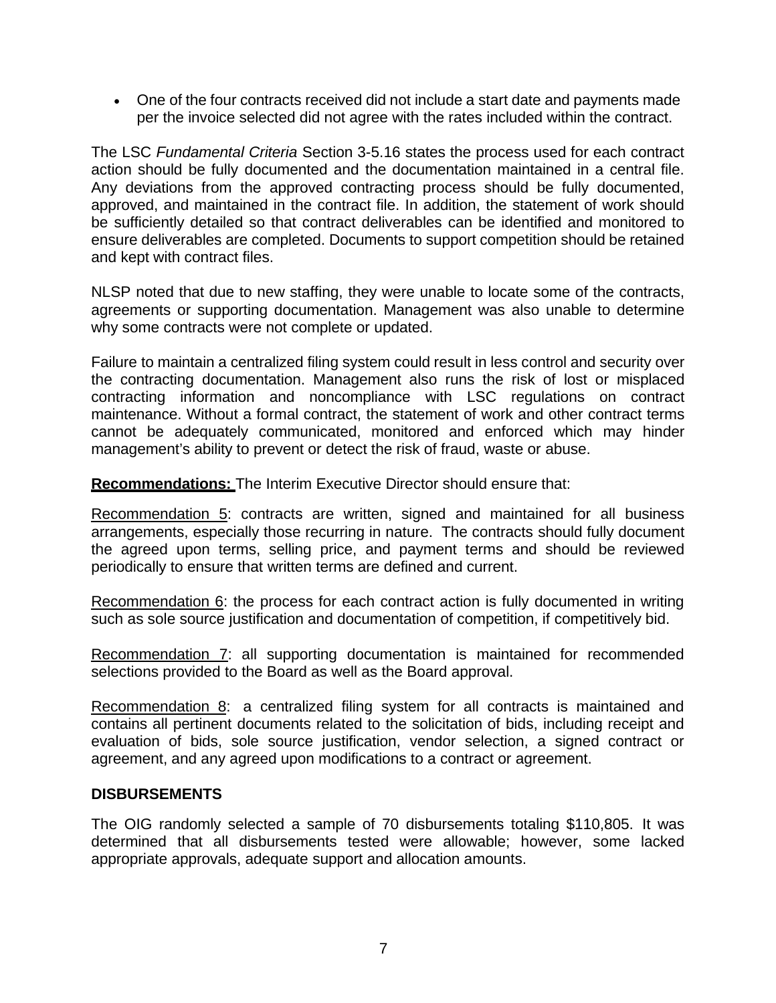• One of the four contracts received did not include a start date and payments made per the invoice selected did not agree with the rates included within the contract.

The LSC *Fundamental Criteria* Section 3-5.16 states the process used for each contract action should be fully documented and the documentation maintained in a central file. Any deviations from the approved contracting process should be fully documented, approved, and maintained in the contract file. In addition, the statement of work should be sufficiently detailed so that contract deliverables can be identified and monitored to ensure deliverables are completed. Documents to support competition should be retained and kept with contract files.

NLSP noted that due to new staffing, they were unable to locate some of the contracts, agreements or supporting documentation. Management was also unable to determine why some contracts were not complete or updated.

Failure to maintain a centralized filing system could result in less control and security over the contracting documentation. Management also runs the risk of lost or misplaced contracting information and noncompliance with LSC regulations on contract maintenance. Without a formal contract, the statement of work and other contract terms cannot be adequately communicated, monitored and enforced which may hinder management's ability to prevent or detect the risk of fraud, waste or abuse.

**Recommendations:** The Interim Executive Director should ensure that:

Recommendation 5: contracts are written, signed and maintained for all business arrangements, especially those recurring in nature. The contracts should fully document the agreed upon terms, selling price, and payment terms and should be reviewed periodically to ensure that written terms are defined and current.

Recommendation 6: the process for each contract action is fully documented in writing such as sole source justification and documentation of competition, if competitively bid.

Recommendation 7: all supporting documentation is maintained for recommended selections provided to the Board as well as the Board approval.

Recommendation 8: a centralized filing system for all contracts is maintained and contains all pertinent documents related to the solicitation of bids, including receipt and evaluation of bids, sole source justification, vendor selection, a signed contract or agreement, and any agreed upon modifications to a contract or agreement.

#### <span id="page-11-0"></span>**DISBURSEMENTS**

The OIG randomly selected a sample of 70 disbursements totaling \$110,805. It was determined that all disbursements tested were allowable; however, some lacked appropriate approvals, adequate support and allocation amounts.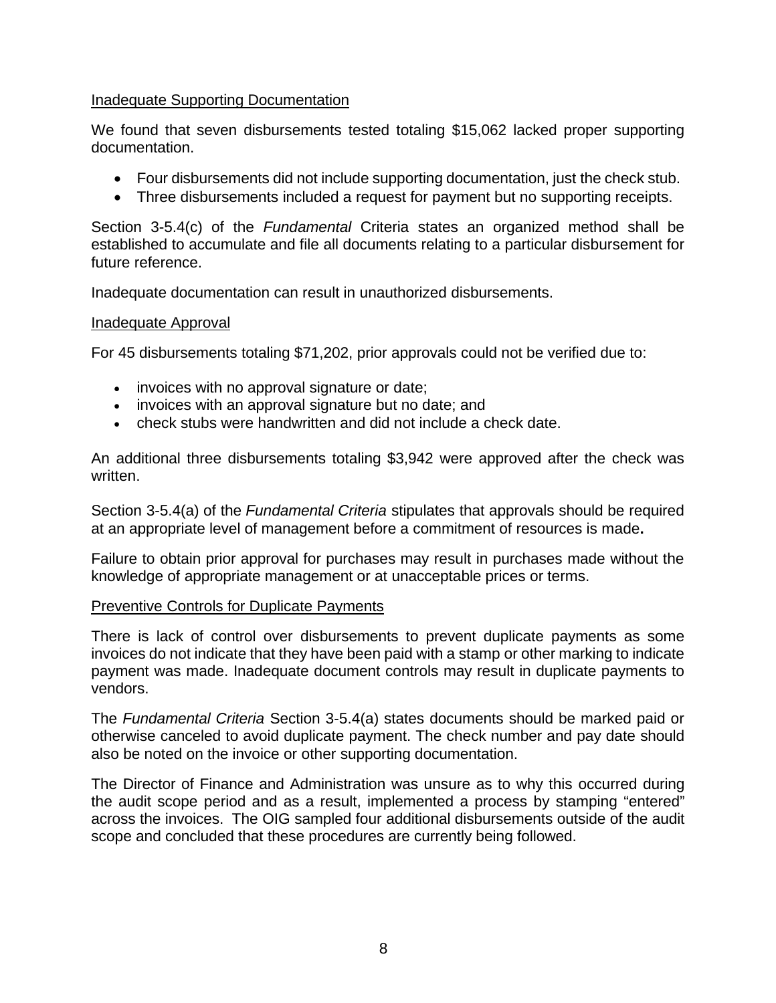#### Inadequate Supporting Documentation

We found that seven disbursements tested totaling \$15,062 lacked proper supporting documentation.

- Four disbursements did not include supporting documentation, just the check stub.
- Three disbursements included a request for payment but no supporting receipts.

Section 3-5.4(c) of the *Fundamental* Criteria states an organized method shall be established to accumulate and file all documents relating to a particular disbursement for future reference.

Inadequate documentation can result in unauthorized disbursements.

#### Inadequate Approval

For 45 disbursements totaling \$71,202, prior approvals could not be verified due to:

- invoices with no approval signature or date;
- invoices with an approval signature but no date; and
- check stubs were handwritten and did not include a check date.

An additional three disbursements totaling \$3,942 were approved after the check was written.

Section 3-5.4(a) of the *Fundamental Criteria* stipulates that approvals should be required at an appropriate level of management before a commitment of resources is made**.**

Failure to obtain prior approval for purchases may result in purchases made without the knowledge of appropriate management or at unacceptable prices or terms.

#### Preventive Controls for Duplicate Payments

There is lack of control over disbursements to prevent duplicate payments as some invoices do not indicate that they have been paid with a stamp or other marking to indicate payment was made. Inadequate document controls may result in duplicate payments to vendors.

The *Fundamental Criteria* Section 3-5.4(a) states documents should be marked paid or otherwise canceled to avoid duplicate payment. The check number and pay date should also be noted on the invoice or other supporting documentation.

The Director of Finance and Administration was unsure as to why this occurred during the audit scope period and as a result, implemented a process by stamping "entered" across the invoices. The OIG sampled four additional disbursements outside of the audit scope and concluded that these procedures are currently being followed.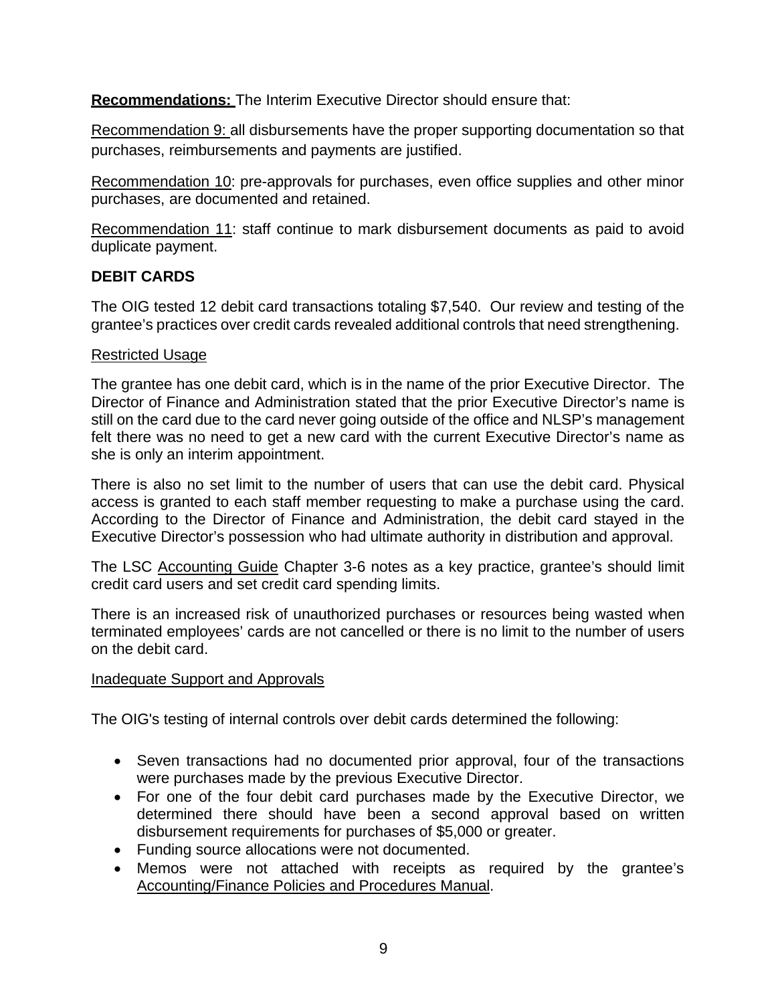**Recommendations:** The Interim Executive Director should ensure that:

Recommendation 9: all disbursements have the proper supporting documentation so that purchases, reimbursements and payments are justified.

Recommendation 10: pre-approvals for purchases, even office supplies and other minor purchases, are documented and retained.

Recommendation 11: staff continue to mark disbursement documents as paid to avoid duplicate payment.

#### <span id="page-13-0"></span>**DEBIT CARDS**

The OIG tested 12 debit card transactions totaling \$7,540. Our review and testing of the grantee's practices over credit cards revealed additional controls that need strengthening.

#### Restricted Usage

The grantee has one debit card, which is in the name of the prior Executive Director. The Director of Finance and Administration stated that the prior Executive Director's name is still on the card due to the card never going outside of the office and NLSP's management felt there was no need to get a new card with the current Executive Director's name as she is only an interim appointment.

There is also no set limit to the number of users that can use the debit card. Physical access is granted to each staff member requesting to make a purchase using the card. According to the Director of Finance and Administration, the debit card stayed in the Executive Director's possession who had ultimate authority in distribution and approval.

The LSC Accounting Guide Chapter 3-6 notes as a key practice, grantee's should limit credit card users and set credit card spending limits.

There is an increased risk of unauthorized purchases or resources being wasted when terminated employees' cards are not cancelled or there is no limit to the number of users on the debit card.

#### Inadequate Support and Approvals

The OIG's testing of internal controls over debit cards determined the following:

- Seven transactions had no documented prior approval, four of the transactions were purchases made by the previous Executive Director.
- For one of the four debit card purchases made by the Executive Director, we determined there should have been a second approval based on written disbursement requirements for purchases of \$5,000 or greater.
- Funding source allocations were not documented.
- Memos were not attached with receipts as required by the grantee's Accounting/Finance Policies and Procedures Manual.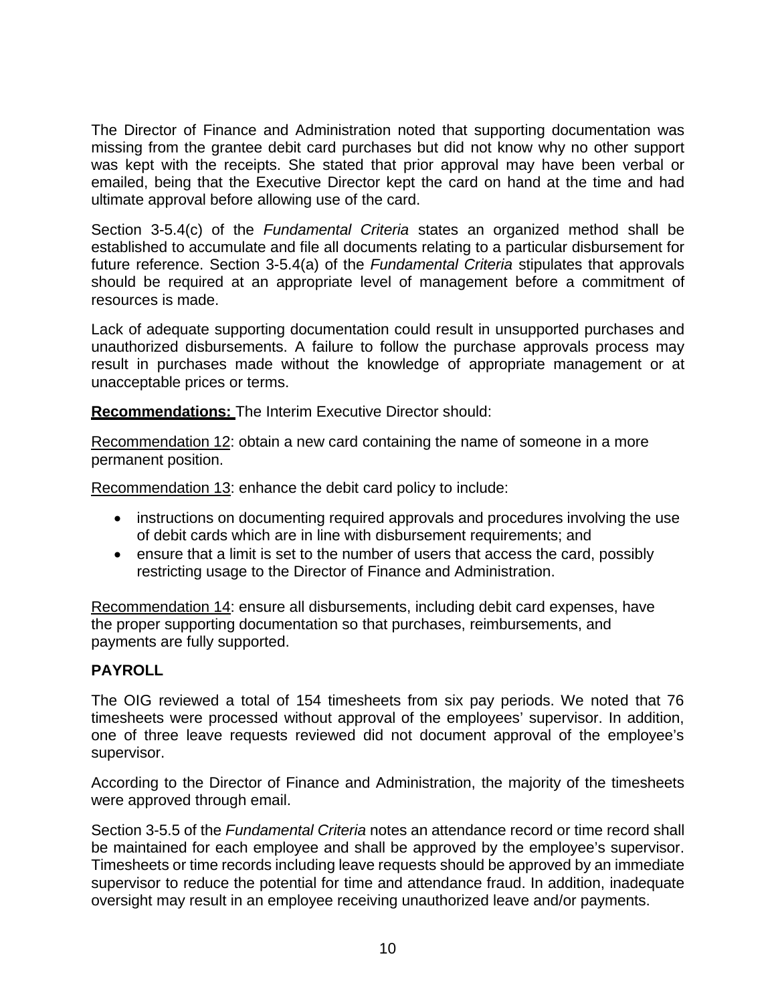The Director of Finance and Administration noted that supporting documentation was missing from the grantee debit card purchases but did not know why no other support was kept with the receipts. She stated that prior approval may have been verbal or emailed, being that the Executive Director kept the card on hand at the time and had ultimate approval before allowing use of the card.

Section 3-5.4(c) of the *Fundamental Criteria* states an organized method shall be established to accumulate and file all documents relating to a particular disbursement for future reference. Section 3-5.4(a) of the *Fundamental Criteria* stipulates that approvals should be required at an appropriate level of management before a commitment of resources is made.

Lack of adequate supporting documentation could result in unsupported purchases and unauthorized disbursements. A failure to follow the purchase approvals process may result in purchases made without the knowledge of appropriate management or at unacceptable prices or terms.

**Recommendations:** The Interim Executive Director should:

Recommendation 12: obtain a new card containing the name of someone in a more permanent position.

Recommendation 13: enhance the debit card policy to include:

- instructions on documenting required approvals and procedures involving the use of debit cards which are in line with disbursement requirements; and
- ensure that a limit is set to the number of users that access the card, possibly restricting usage to the Director of Finance and Administration.

Recommendation 14: ensure all disbursements, including debit card expenses, have the proper supporting documentation so that purchases, reimbursements, and payments are fully supported.

# <span id="page-14-0"></span>**PAYROLL**

The OIG reviewed a total of 154 timesheets from six pay periods. We noted that 76 timesheets were processed without approval of the employees' supervisor. In addition, one of three leave requests reviewed did not document approval of the employee's supervisor.

According to the Director of Finance and Administration, the majority of the timesheets were approved through email.

Section 3-5.5 of the *Fundamental Criteria* notes an attendance record or time record shall be maintained for each employee and shall be approved by the employee's supervisor. Timesheets or time records including leave requests should be approved by an immediate supervisor to reduce the potential for time and attendance fraud. In addition, inadequate oversight may result in an employee receiving unauthorized leave and/or payments.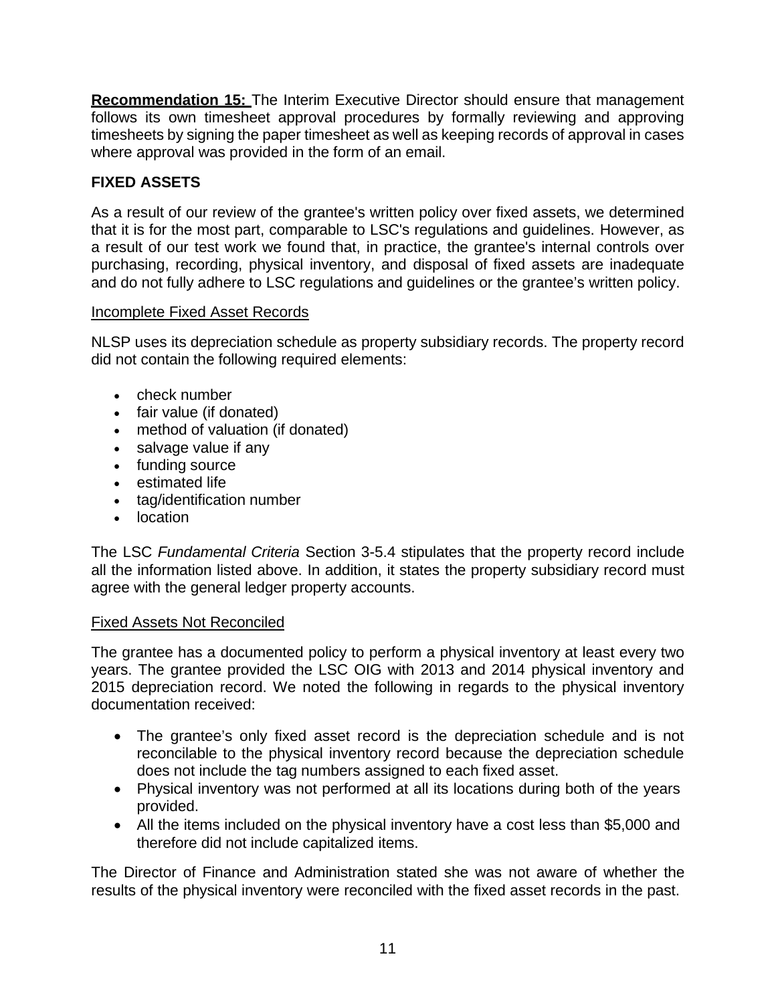**Recommendation 15:** The Interim Executive Director should ensure that management follows its own timesheet approval procedures by formally reviewing and approving timesheets by signing the paper timesheet as well as keeping records of approval in cases where approval was provided in the form of an email.

# <span id="page-15-0"></span>**FIXED ASSETS**

As a result of our review of the grantee's written policy over fixed assets, we determined that it is for the most part, comparable to LSC's regulations and guidelines. However, as a result of our test work we found that, in practice, the grantee's internal controls over purchasing, recording, physical inventory, and disposal of fixed assets are inadequate and do not fully adhere to LSC regulations and guidelines or the grantee's written policy.

# Incomplete Fixed Asset Records

NLSP uses its depreciation schedule as property subsidiary records. The property record did not contain the following required elements:

- check number
- fair value (if donated)
- method of valuation (if donated)
- salvage value if any
- funding source
- estimated life
- tag/identification number
- location

The LSC *Fundamental Criteria* Section 3-5.4 stipulates that the property record include all the information listed above. In addition, it states the property subsidiary record must agree with the general ledger property accounts.

# Fixed Assets Not Reconciled

The grantee has a documented policy to perform a physical inventory at least every two years. The grantee provided the LSC OIG with 2013 and 2014 physical inventory and 2015 depreciation record. We noted the following in regards to the physical inventory documentation received:

- The grantee's only fixed asset record is the depreciation schedule and is not reconcilable to the physical inventory record because the depreciation schedule does not include the tag numbers assigned to each fixed asset.
- Physical inventory was not performed at all its locations during both of the years provided.
- All the items included on the physical inventory have a cost less than \$5,000 and therefore did not include capitalized items.

The Director of Finance and Administration stated she was not aware of whether the results of the physical inventory were reconciled with the fixed asset records in the past.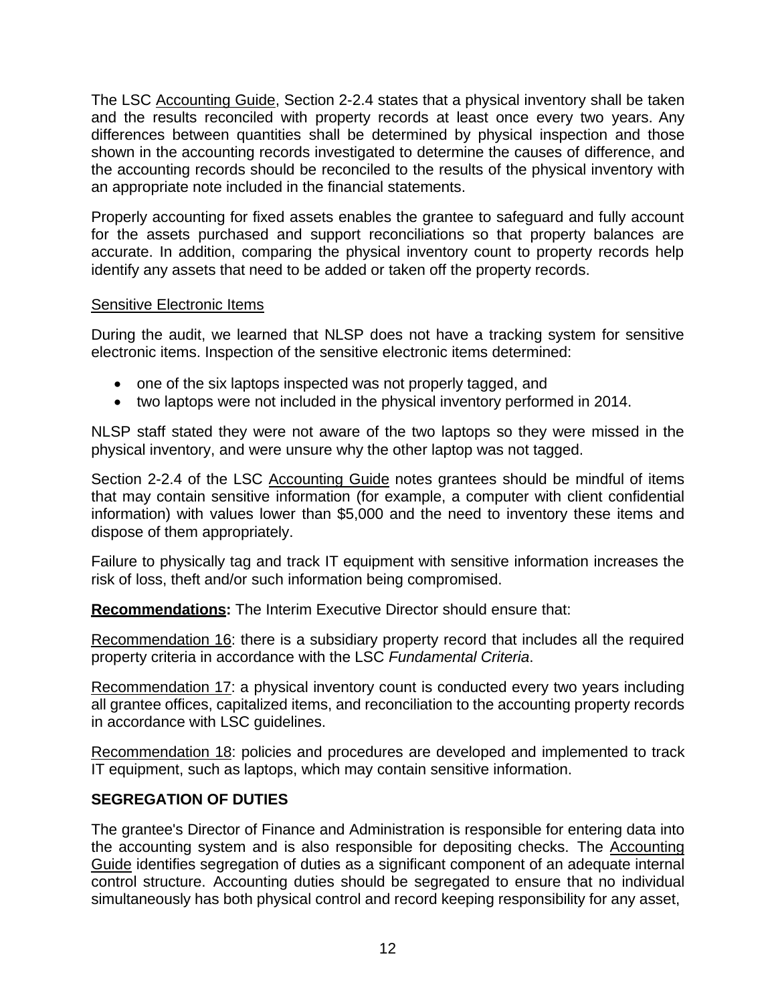The LSC Accounting Guide, Section 2-2.4 states that a physical inventory shall be taken and the results reconciled with property records at least once every two years. Any differences between quantities shall be determined by physical inspection and those shown in the accounting records investigated to determine the causes of difference, and the accounting records should be reconciled to the results of the physical inventory with an appropriate note included in the financial statements.

Properly accounting for fixed assets enables the grantee to safeguard and fully account for the assets purchased and support reconciliations so that property balances are accurate. In addition, comparing the physical inventory count to property records help identify any assets that need to be added or taken off the property records.

#### Sensitive Electronic Items

During the audit, we learned that NLSP does not have a tracking system for sensitive electronic items. Inspection of the sensitive electronic items determined:

- one of the six laptops inspected was not properly tagged, and
- two laptops were not included in the physical inventory performed in 2014.

NLSP staff stated they were not aware of the two laptops so they were missed in the physical inventory, and were unsure why the other laptop was not tagged.

Section 2-2.4 of the LSC Accounting Guide notes grantees should be mindful of items that may contain sensitive information (for example, a computer with client confidential information) with values lower than \$5,000 and the need to inventory these items and dispose of them appropriately.

Failure to physically tag and track IT equipment with sensitive information increases the risk of loss, theft and/or such information being compromised.

**Recommendations:** The Interim Executive Director should ensure that:

Recommendation 16: there is a subsidiary property record that includes all the required property criteria in accordance with the LSC *Fundamental Criteria*.

Recommendation 17: a physical inventory count is conducted every two years including all grantee offices, capitalized items, and reconciliation to the accounting property records in accordance with LSC guidelines.

Recommendation 18: policies and procedures are developed and implemented to track IT equipment, such as laptops, which may contain sensitive information.

# <span id="page-16-0"></span>**SEGREGATION OF DUTIES**

The grantee's Director of Finance and Administration is responsible for entering data into the accounting system and is also responsible for depositing checks. The Accounting Guide identifies segregation of duties as a significant component of an adequate internal control structure. Accounting duties should be segregated to ensure that no individual simultaneously has both physical control and record keeping responsibility for any asset,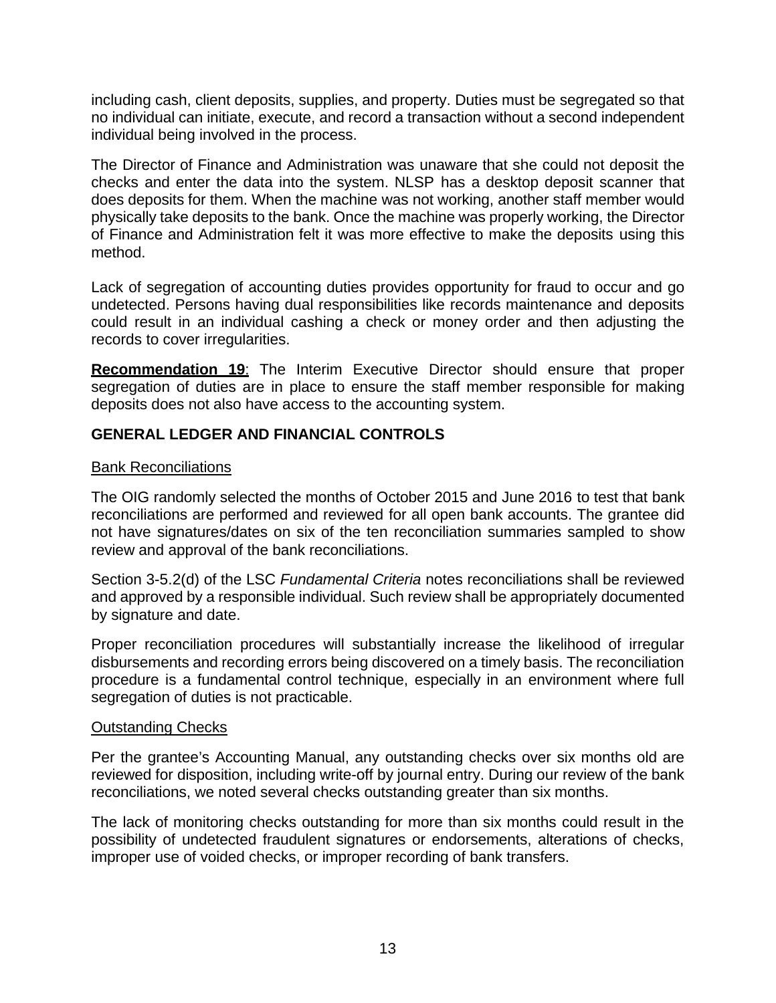including cash, client deposits, supplies, and property. Duties must be segregated so that no individual can initiate, execute, and record a transaction without a second independent individual being involved in the process.

The Director of Finance and Administration was unaware that she could not deposit the checks and enter the data into the system. NLSP has a desktop deposit scanner that does deposits for them. When the machine was not working, another staff member would physically take deposits to the bank. Once the machine was properly working, the Director of Finance and Administration felt it was more effective to make the deposits using this method.

Lack of segregation of accounting duties provides opportunity for fraud to occur and go undetected. Persons having dual responsibilities like records maintenance and deposits could result in an individual cashing a check or money order and then adjusting the records to cover irregularities.

**Recommendation 19**: The Interim Executive Director should ensure that proper segregation of duties are in place to ensure the staff member responsible for making deposits does not also have access to the accounting system.

# <span id="page-17-0"></span>**GENERAL LEDGER AND FINANCIAL CONTROLS**

#### Bank Reconciliations

The OIG randomly selected the months of October 2015 and June 2016 to test that bank reconciliations are performed and reviewed for all open bank accounts. The grantee did not have signatures/dates on six of the ten reconciliation summaries sampled to show review and approval of the bank reconciliations.

Section 3-5.2(d) of the LSC *Fundamental Criteria* notes reconciliations shall be reviewed and approved by a responsible individual. Such review shall be appropriately documented by signature and date.

Proper reconciliation procedures will substantially increase the likelihood of irregular disbursements and recording errors being discovered on a timely basis. The reconciliation procedure is a fundamental control technique, especially in an environment where full segregation of duties is not practicable.

#### Outstanding Checks

Per the grantee's Accounting Manual, any outstanding checks over six months old are reviewed for disposition, including write-off by journal entry. During our review of the bank reconciliations, we noted several checks outstanding greater than six months.

The lack of monitoring checks outstanding for more than six months could result in the possibility of undetected fraudulent signatures or endorsements, alterations of checks, improper use of voided checks, or improper recording of bank transfers.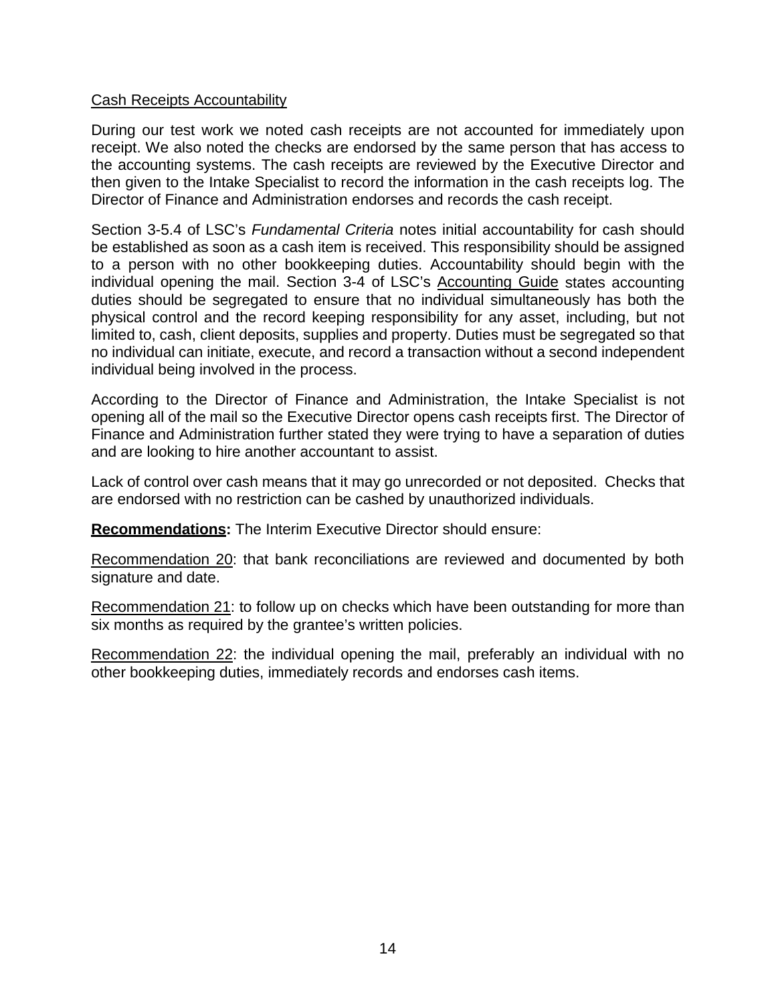#### Cash Receipts Accountability

During our test work we noted cash receipts are not accounted for immediately upon receipt. We also noted the checks are endorsed by the same person that has access to the accounting systems. The cash receipts are reviewed by the Executive Director and then given to the Intake Specialist to record the information in the cash receipts log. The Director of Finance and Administration endorses and records the cash receipt.

Section 3-5.4 of LSC's *Fundamental Criteria* notes initial accountability for cash should be established as soon as a cash item is received. This responsibility should be assigned to a person with no other bookkeeping duties. Accountability should begin with the individual opening the mail. Section 3-4 of LSC's Accounting Guide states accounting duties should be segregated to ensure that no individual simultaneously has both the physical control and the record keeping responsibility for any asset, including, but not limited to, cash, client deposits, supplies and property. Duties must be segregated so that no individual can initiate, execute, and record a transaction without a second independent individual being involved in the process.

According to the Director of Finance and Administration, the Intake Specialist is not opening all of the mail so the Executive Director opens cash receipts first. The Director of Finance and Administration further stated they were trying to have a separation of duties and are looking to hire another accountant to assist.

Lack of control over cash means that it may go unrecorded or not deposited. Checks that are endorsed with no restriction can be cashed by unauthorized individuals.

**Recommendations:** The Interim Executive Director should ensure:

Recommendation 20: that bank reconciliations are reviewed and documented by both signature and date.

Recommendation 21: to follow up on checks which have been outstanding for more than six months as required by the grantee's written policies.

Recommendation 22: the individual opening the mail, preferably an individual with no other bookkeeping duties, immediately records and endorses cash items.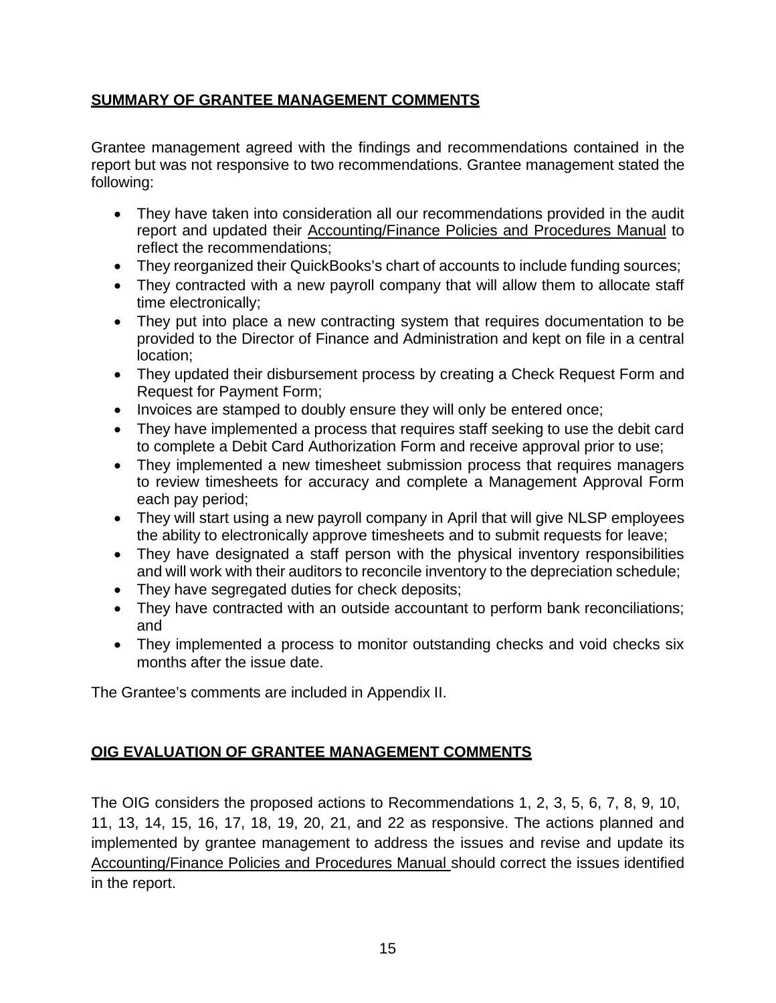# <span id="page-19-0"></span>**SUMMARY OF GRANTEE MANAGEMENT COMMENTS**

Grantee management agreed with the findings and recommendations contained in the report but was not responsive to two recommendations. Grantee management stated the following:

- They have taken into consideration all our recommendations provided in the audit report and updated their Accounting/Finance Policies and Procedures Manual to reflect the recommendations;
- They reorganized their QuickBooks's chart of accounts to include funding sources;
- They contracted with a new payroll company that will allow them to allocate staff time electronically;
- They put into place a new contracting system that requires documentation to be provided to the Director of Finance and Administration and kept on file in a central location;
- They updated their disbursement process by creating a Check Request Form and Request for Payment Form;
- Invoices are stamped to doubly ensure they will only be entered once;
- They have implemented a process that requires staff seeking to use the debit card to complete a Debit Card Authorization Form and receive approval prior to use;
- They implemented a new timesheet submission process that requires managers to review timesheets for accuracy and complete a Management Approval Form each pay period;
- They will start using a new payroll company in April that will give NLSP employees the ability to electronically approve timesheets and to submit requests for leave;
- They have designated a staff person with the physical inventory responsibilities and will work with their auditors to reconcile inventory to the depreciation schedule;
- They have segregated duties for check deposits;
- They have contracted with an outside accountant to perform bank reconciliations; and
- They implemented a process to monitor outstanding checks and void checks six months after the issue date.

The Grantee's comments are included in Appendix II.

# <span id="page-19-1"></span>**OIG EVALUATION OF GRANTEE MANAGEMENT COMMENTS**

The OIG considers the proposed actions to Recommendations 1, 2, 3, 5, 6, 7, 8, 9, 10, 11, 13, 14, 15, 16, 17, 18, 19, 20, 21, and 22 as responsive. The actions planned and implemented by grantee management to address the issues and revise and update its Accounting/Finance Policies and Procedures Manual should correct the issues identified in the report.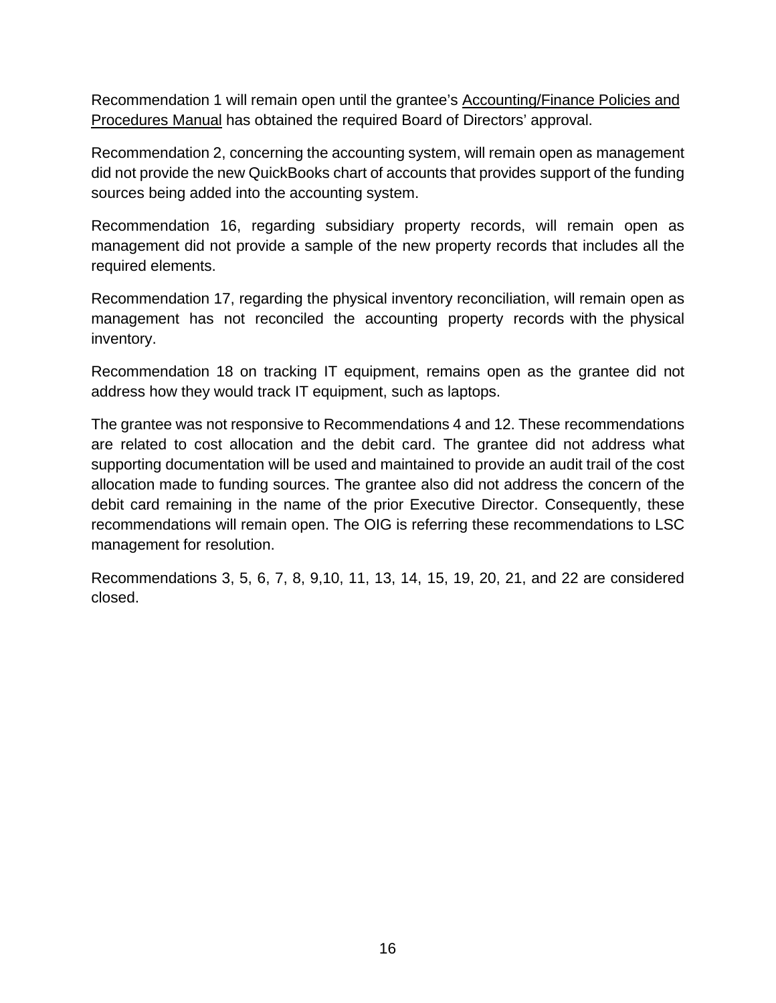Recommendation 1 will remain open until the grantee's Accounting/Finance Policies and Procedures Manual has obtained the required Board of Directors' approval.

Recommendation 2, concerning the accounting system, will remain open as management did not provide the new QuickBooks chart of accounts that provides support of the funding sources being added into the accounting system.

Recommendation 16, regarding subsidiary property records, will remain open as management did not provide a sample of the new property records that includes all the required elements.

Recommendation 17, regarding the physical inventory reconciliation, will remain open as management has not reconciled the accounting property records with the physical inventory.

Recommendation 18 on tracking IT equipment, remains open as the grantee did not address how they would track IT equipment, such as laptops.

The grantee was not responsive to Recommendations 4 and 12. These recommendations are related to cost allocation and the debit card. The grantee did not address what supporting documentation will be used and maintained to provide an audit trail of the cost allocation made to funding sources. The grantee also did not address the concern of the debit card remaining in the name of the prior Executive Director. Consequently, these recommendations will remain open. The OIG is referring these recommendations to LSC management for resolution.

Recommendations 3, 5, 6, 7, 8, 9,10, 11, 13, 14, 15, 19, 20, 21, and 22 are considered closed.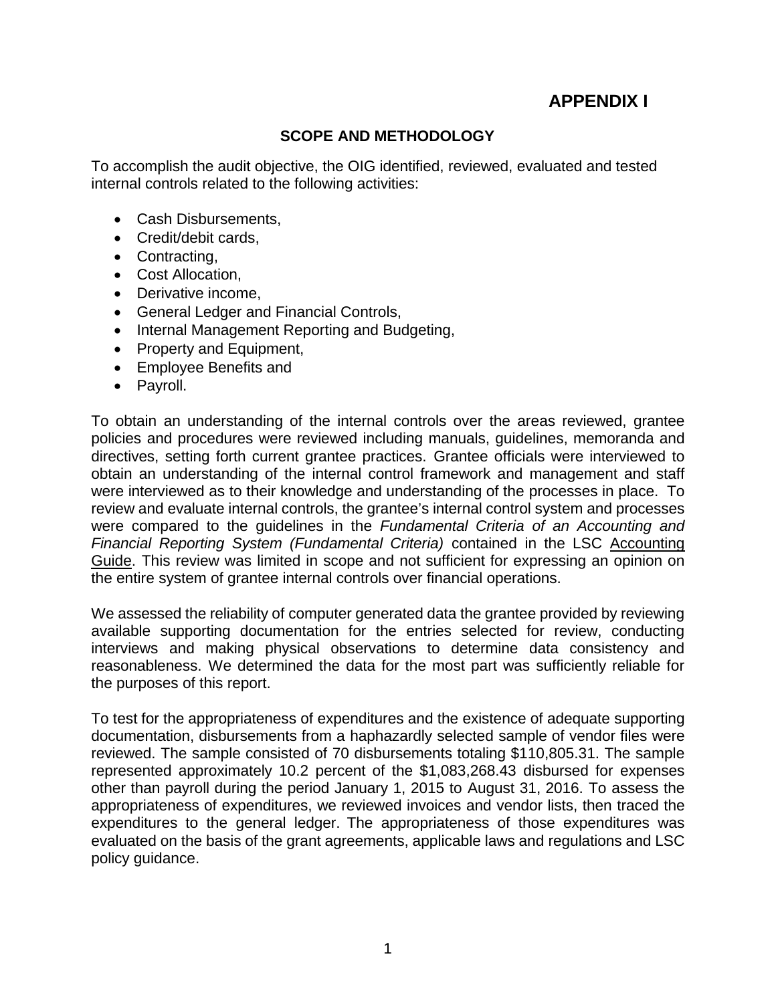# **APPENDIX I**

#### **SCOPE AND METHODOLOGY**

To accomplish the audit objective, the OIG identified, reviewed, evaluated and tested internal controls related to the following activities:

- Cash Disbursements,
- Credit/debit cards,
- Contracting,
- Cost Allocation,
- Derivative income,
- General Ledger and Financial Controls,
- Internal Management Reporting and Budgeting,
- Property and Equipment,
- Employee Benefits and
- Payroll.

To obtain an understanding of the internal controls over the areas reviewed, grantee policies and procedures were reviewed including manuals, guidelines, memoranda and directives, setting forth current grantee practices. Grantee officials were interviewed to obtain an understanding of the internal control framework and management and staff were interviewed as to their knowledge and understanding of the processes in place. To review and evaluate internal controls, the grantee's internal control system and processes were compared to the guidelines in the *Fundamental Criteria of an Accounting and Financial Reporting System (Fundamental Criteria)* contained in the LSC Accounting Guide. This review was limited in scope and not sufficient for expressing an opinion on the entire system of grantee internal controls over financial operations.

We assessed the reliability of computer generated data the grantee provided by reviewing available supporting documentation for the entries selected for review, conducting interviews and making physical observations to determine data consistency and reasonableness. We determined the data for the most part was sufficiently reliable for the purposes of this report.

To test for the appropriateness of expenditures and the existence of adequate supporting documentation, disbursements from a haphazardly selected sample of vendor files were reviewed. The sample consisted of 70 disbursements totaling \$110,805.31. The sample represented approximately 10.2 percent of the \$1,083,268.43 disbursed for expenses other than payroll during the period January 1, 2015 to August 31, 2016. To assess the appropriateness of expenditures, we reviewed invoices and vendor lists, then traced the expenditures to the general ledger. The appropriateness of those expenditures was evaluated on the basis of the grant agreements, applicable laws and regulations and LSC policy guidance.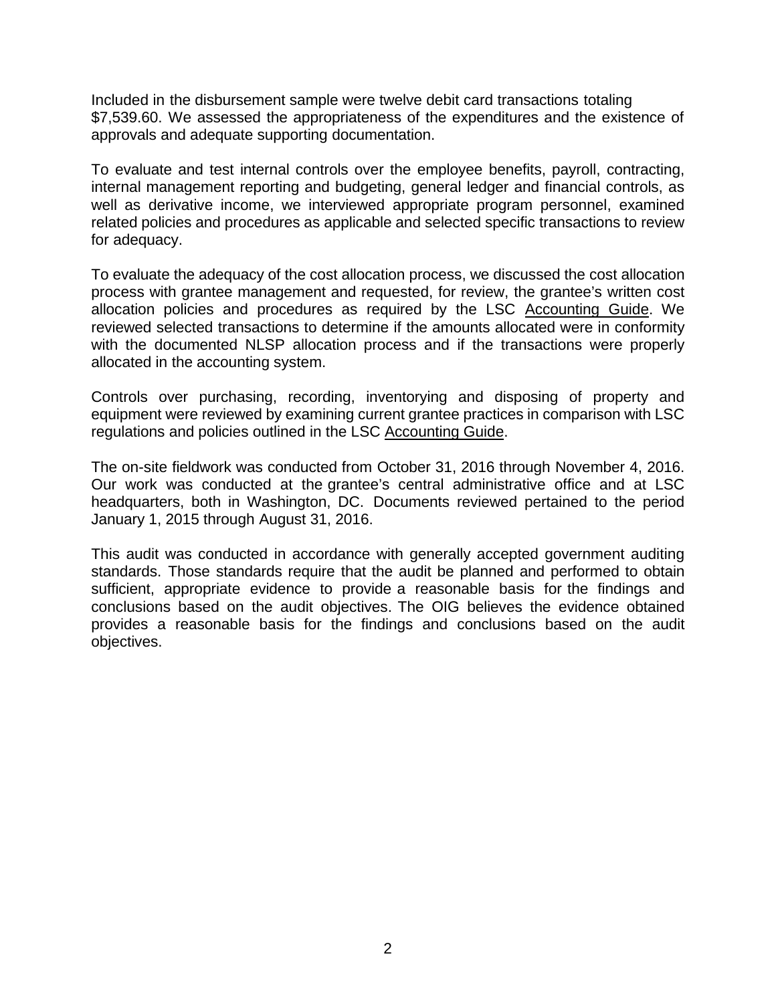Included in the disbursement sample were twelve debit card transactions totaling \$7,539.60. We assessed the appropriateness of the expenditures and the existence of approvals and adequate supporting documentation.

To evaluate and test internal controls over the employee benefits, payroll, contracting, internal management reporting and budgeting, general ledger and financial controls, as well as derivative income, we interviewed appropriate program personnel, examined related policies and procedures as applicable and selected specific transactions to review for adequacy.

To evaluate the adequacy of the cost allocation process, we discussed the cost allocation process with grantee management and requested, for review, the grantee's written cost allocation policies and procedures as required by the LSC Accounting Guide. We reviewed selected transactions to determine if the amounts allocated were in conformity with the documented NLSP allocation process and if the transactions were properly allocated in the accounting system.

Controls over purchasing, recording, inventorying and disposing of property and equipment were reviewed by examining current grantee practices in comparison with LSC regulations and policies outlined in the LSC Accounting Guide.

The on-site fieldwork was conducted from October 31, 2016 through November 4, 2016. Our work was conducted at the grantee's central administrative office and at LSC headquarters, both in Washington, DC. Documents reviewed pertained to the period January 1, 2015 through August 31, 2016.

This audit was conducted in accordance with generally accepted government auditing standards. Those standards require that the audit be planned and performed to obtain sufficient, appropriate evidence to provide a reasonable basis for the findings and conclusions based on the audit objectives. The OIG believes the evidence obtained provides a reasonable basis for the findings and conclusions based on the audit objectives.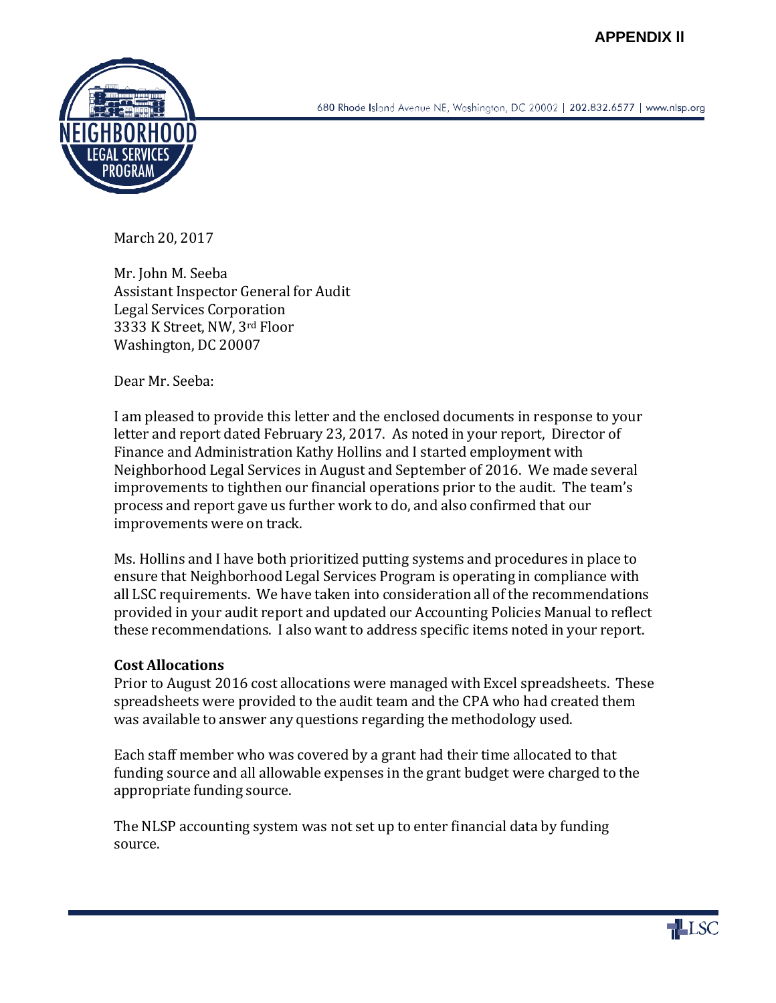

680 Rhode Island Avenue NE, Washington, DC 20002 | 202.832.6577 | www.nlsp.org

March 20, 2017

Mr. John M. Seeba Assistant Inspector General for Audit Legal Services Corporation 3333 K Street, NW, 3rd Floor Washington, DC 20007

Dear Mr. Seeba:

I am pleased to provide this letter and the enclosed documents in response to your letter and report dated February 23, 2017. As noted in your report, Director of Finance and Administration Kathy Hollins and I started employment with Neighborhood Legal Services in August and September of 2016. We made several improvements to tighthen our financial operations prior to the audit. The team's process and report gave us further work to do, and also confirmed that our improvements were on track.

Ms. Hollins and I have both prioritized putting systems and procedures in place to ensure that Neighborhood Legal Services Program is operating in compliance with all LSC requirements. We have taken into consideration all of the recommendations provided in your audit report and updated our Accounting Policies Manual to reflect these recommendations. I also want to address specific items noted in your report.

# **Cost Allocations**

Prior to August 2016 cost allocations were managed with Excel spreadsheets. These spreadsheets were provided to the audit team and the CPA who had created them was available to answer any questions regarding the methodology used.

Each staff member who was covered by a grant had their time allocated to that funding source and all allowable expenses in the grant budget were charged to the appropriate funding source.

The NLSP accounting system was not set up to enter financial data by funding source.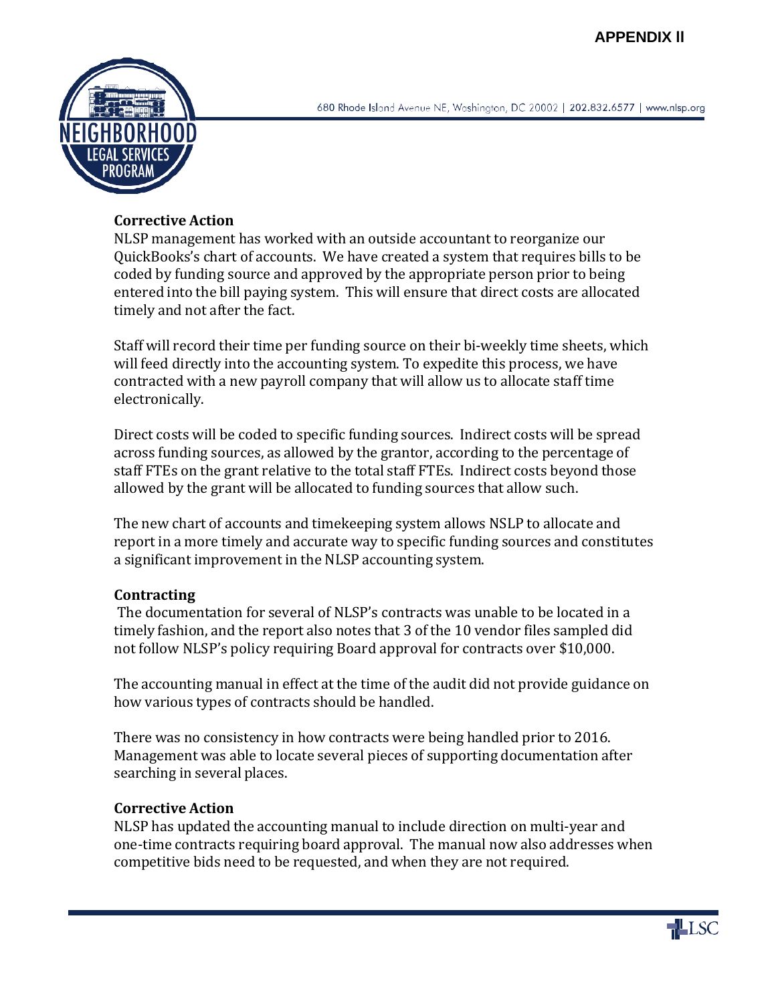

#### **Corrective Action**

NLSP management has worked with an outside accountant to reorganize our QuickBooks's chart of accounts. We have created a system that requires bills to be coded by funding source and approved by the appropriate person prior to being entered into the bill paying system. This will ensure that direct costs are allocated timely and not after the fact.

Staff will record their time per funding source on their bi-weekly time sheets, which will feed directly into the accounting system. To expedite this process, we have contracted with a new payroll company that will allow us to allocate staff time electronically.

Direct costs will be coded to specific funding sources. Indirect costs will be spread across funding sources, as allowed by the grantor, according to the percentage of staff FTEs on the grant relative to the total staff FTEs. Indirect costs beyond those allowed by the grant will be allocated to funding sources that allow such.

The new chart of accounts and timekeeping system allows NSLP to allocate and report in a more timely and accurate way to specific funding sources and constitutes a significant improvement in the NLSP accounting system.

#### **Contracting**

The documentation for several of NLSP's contracts was unable to be located in a timely fashion, and the report also notes that 3 of the 10 vendor files sampled did not follow NLSP's policy requiring Board approval for contracts over \$10,000.

The accounting manual in effect at the time of the audit did not provide guidance on how various types of contracts should be handled.

There was no consistency in how contracts were being handled prior to 2016. Management was able to locate several pieces of supporting documentation after searching in several places.

# **Corrective Action**

NLSP has updated the accounting manual to include direction on multi-year and one-time contracts requiring board approval. The manual now also addresses when competitive bids need to be requested, and when they are not required.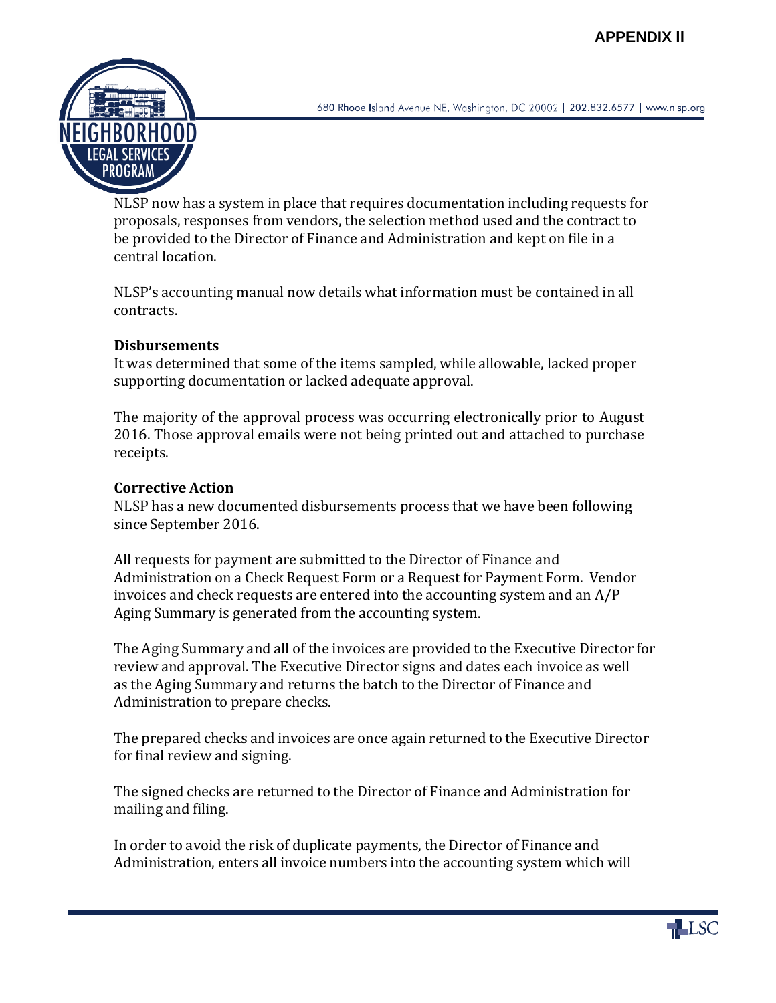

680 Rhode Island Avenue NE, Washington, DC 20002 | 202.832.6577 | www.nlsp.org

NLSP now has a system in place that requires documentation including requests for proposals, responses from vendors, the selection method used and the contract to be provided to the Director of Finance and Administration and kept on file in a central location.

NLSP's accounting manual now details what information must be contained in all contracts.

#### **Disbursements**

It was determined that some of the items sampled, while allowable, lacked proper supporting documentation or lacked adequate approval.

The majority of the approval process was occurring electronically prior to August 2016. Those approval emails were not being printed out and attached to purchase receipts.

# **Corrective Action**

NLSP has a new documented disbursements process that we have been following since September 2016.

All requests for payment are submitted to the Director of Finance and Administration on a Check Request Form or a Request for Payment Form. Vendor invoices and check requests are entered into the accounting system and an A/P Aging Summary is generated from the accounting system.

The Aging Summary and all of the invoices are provided to the Executive Director for review and approval. The Executive Director signs and dates each invoice as well as the Aging Summary and returns the batch to the Director of Finance and Administration to prepare checks.

The prepared checks and invoices are once again returned to the Executive Director for final review and signing.

The signed checks are returned to the Director of Finance and Administration for mailing and filing.

In order to avoid the risk of duplicate payments, the Director of Finance and Administration, enters all invoice numbers into the accounting system which will

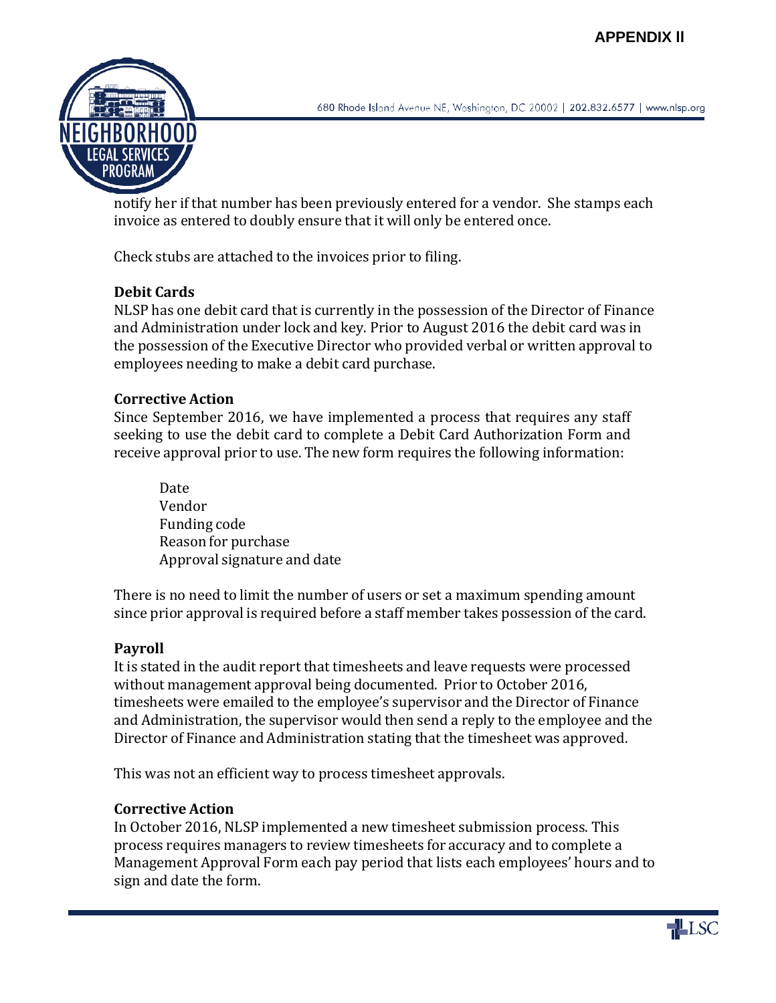

680 Rhode Island Avenue NE, Washington, DC 20002 | 202.832.6577 | www.nlsp.org

notify her if that number has been previously entered for a vendor. She stamps each invoice as entered to doubly ensure that it will only be entered once.

Check stubs are attached to the invoices prior to filing.

# **Debit Cards**

NLSP has one debit card that is currently in the possession of the Director of Finance and Administration under lock and key. Prior to August 2016 the debit card was in the possession of the Executive Director who provided verbal or written approval to employees needing to make a debit card purchase.

#### **Corrective Action**

Since September 2016, we have implemented a process that requires any staff seeking to use the debit card to complete a Debit Card Authorization Form and receive approval prior to use. The new form requires the following information:

Date Vendor Funding code Reason for purchase Approval signature and date

There is no need to limit the number of users or set a maximum spending amount since prior approval is required before a staff member takes possession of the card.

#### **Payroll**

It is stated in the audit report that timesheets and leave requests were processed without management approval being documented. Prior to October 2016, timesheets were emailed to the employee's supervisor and the Director of Finance and Administration, the supervisor would then send a reply to the employee and the Director of Finance and Administration stating that the timesheet was approved.

This was not an efficient way to process timesheet approvals.

# **Corrective Action**

In October 2016, NLSP implemented a new timesheet submission process. This process requires managers to review timesheets for accuracy and to complete a Management Approval Form each pay period that lists each employees' hours and to sign and date the form.

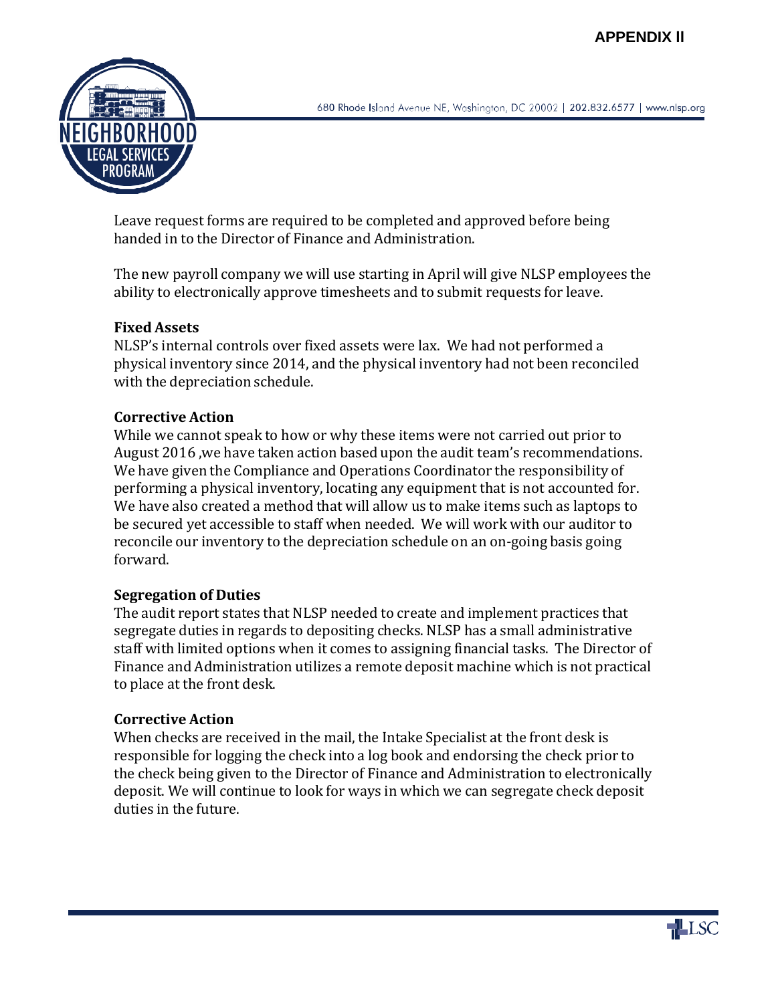

Leave request forms are required to be completed and approved before being handed in to the Director of Finance and Administration.

The new payroll company we will use starting in April will give NLSP employees the ability to electronically approve timesheets and to submit requests for leave.

# **Fixed Assets**

NLSP's internal controls over fixed assets were lax. We had not performed a physical inventory since 2014, and the physical inventory had not been reconciled with the depreciation schedule.

# **Corrective Action**

While we cannot speak to how or why these items were not carried out prior to August 2016 ,we have taken action based upon the audit team's recommendations. We have given the Compliance and Operations Coordinator the responsibility of performing a physical inventory, locating any equipment that is not accounted for. We have also created a method that will allow us to make items such as laptops to be secured yet accessible to staff when needed. We will work with our auditor to reconcile our inventory to the depreciation schedule on an on-going basis going forward.

# **Segregation of Duties**

The audit report states that NLSP needed to create and implement practices that segregate duties in regards to depositing checks. NLSP has a small administrative staff with limited options when it comes to assigning financial tasks. The Director of Finance and Administration utilizes a remote deposit machine which is not practical to place at the front desk.

# **Corrective Action**

When checks are received in the mail, the Intake Specialist at the front desk is responsible for logging the check into a log book and endorsing the check prior to the check being given to the Director of Finance and Administration to electronically deposit. We will continue to look for ways in which we can segregate check deposit duties in the future.